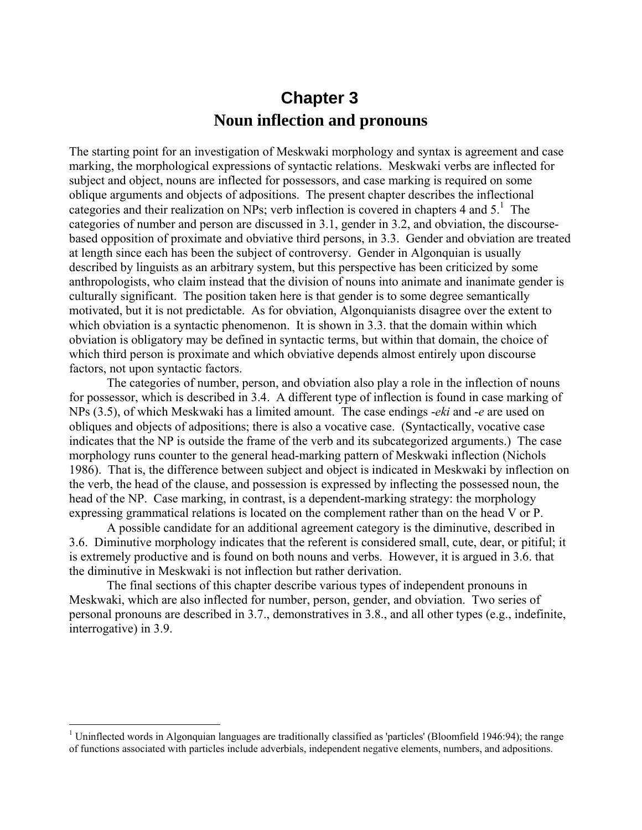## **Chapter 3 Noun inflection and pronouns**

The starting point for an investigation of Meskwaki morphology and syntax is agreement and case marking, the morphological expressions of syntactic relations. Meskwaki verbs are inflected for subject and object, nouns are inflected for possessors, and case marking is required on some oblique arguments and objects of adpositions. The present chapter describes the inflectional categories and their realization on NPs; verb inflection is covered in chapters 4 and  $5<sup>1</sup>$ . The categories of number and person are discussed in 3.1, gender in 3.2, and obviation, the discoursebased opposition of proximate and obviative third persons, in 3.3. Gender and obviation are treated at length since each has been the subject of controversy. Gender in Algonquian is usually described by linguists as an arbitrary system, but this perspective has been criticized by some anthropologists, who claim instead that the division of nouns into animate and inanimate gender is culturally significant. The position taken here is that gender is to some degree semantically motivated, but it is not predictable. As for obviation, Algonquianists disagree over the extent to which obviation is a syntactic phenomenon. It is shown in 3.3, that the domain within which obviation is obligatory may be defined in syntactic terms, but within that domain, the choice of which third person is proximate and which obviative depends almost entirely upon discourse factors, not upon syntactic factors.

The categories of number, person, and obviation also play a role in the inflection of nouns for possessor, which is described in 3.4. A different type of inflection is found in case marking of NPs (3.5), of which Meskwaki has a limited amount. The case endings -*eki* and -*e* are used on obliques and objects of adpositions; there is also a vocative case. (Syntactically, vocative case indicates that the NP is outside the frame of the verb and its subcategorized arguments.) The case morphology runs counter to the general head-marking pattern of Meskwaki inflection (Nichols 1986). That is, the difference between subject and object is indicated in Meskwaki by inflection on the verb, the head of the clause, and possession is expressed by inflecting the possessed noun, the head of the NP. Case marking, in contrast, is a dependent-marking strategy: the morphology expressing grammatical relations is located on the complement rather than on the head V or P.

A possible candidate for an additional agreement category is the diminutive, described in 3.6. Diminutive morphology indicates that the referent is considered small, cute, dear, or pitiful; it is extremely productive and is found on both nouns and verbs. However, it is argued in 3.6. that the diminutive in Meskwaki is not inflection but rather derivation.

The final sections of this chapter describe various types of independent pronouns in Meskwaki, which are also inflected for number, person, gender, and obviation. Two series of personal pronouns are described in 3.7., demonstratives in 3.8., and all other types (e.g., indefinite, interrogative) in 3.9.

<sup>&</sup>lt;sup>1</sup> Uninflected words in Algonquian languages are traditionally classified as 'particles' (Bloomfield 1946:94); the range of functions associated with particles include adverbials, independent negative elements, numbers, and adpositions.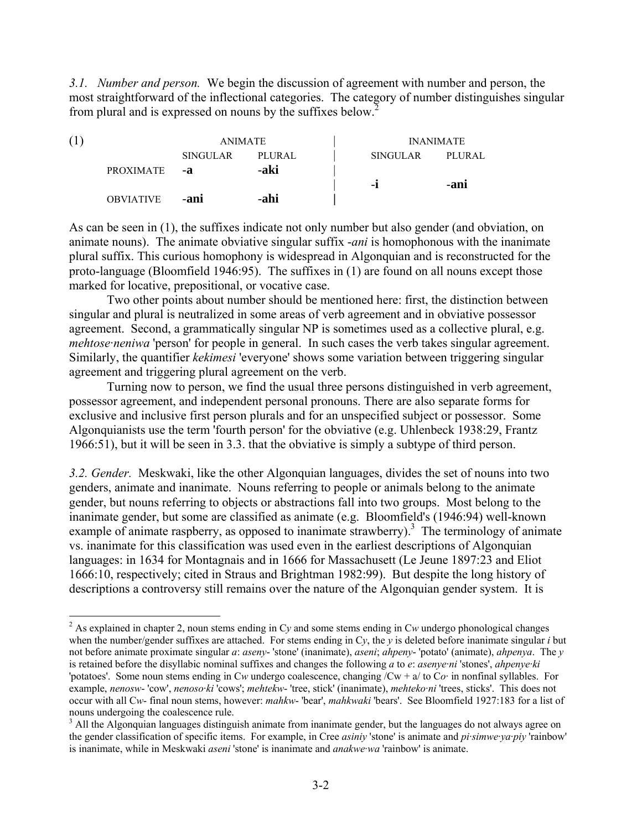*3.1. Number and person.* We begin the discussion of agreement with number and person, the most straightforward of the inflectional categories. The category of number distinguishes singular from plural and is expressed on nouns by the suffixes below.2

| (1) |                  | <b>ANIMATE</b>  |        |                 | <b>INANIMATE</b> |
|-----|------------------|-----------------|--------|-----------------|------------------|
|     |                  | <b>SINGULAR</b> | PLURAL | <b>SINGULAR</b> | PLURAL           |
|     | <b>PROXIMATE</b> | -a              | -aki   | $-I$            | -ani             |
|     | <b>OBVIATIVE</b> | -ani            | -ahi   |                 |                  |

As can be seen in (1), the suffixes indicate not only number but also gender (and obviation, on animate nouns). The animate obviative singular suffix -*ani* is homophonous with the inanimate plural suffix. This curious homophony is widespread in Algonquian and is reconstructed for the proto-language (Bloomfield 1946:95). The suffixes in (1) are found on all nouns except those marked for locative, prepositional, or vocative case.

Two other points about number should be mentioned here: first, the distinction between singular and plural is neutralized in some areas of verb agreement and in obviative possessor agreement. Second, a grammatically singular NP is sometimes used as a collective plural, e.g. *mehtose-neniwa* 'person' for people in general. In such cases the verb takes singular agreement. Similarly, the quantifier *kekimesi* 'everyone' shows some variation between triggering singular agreement and triggering plural agreement on the verb.

Turning now to person, we find the usual three persons distinguished in verb agreement, possessor agreement, and independent personal pronouns. There are also separate forms for exclusive and inclusive first person plurals and for an unspecified subject or possessor. Some Algonquianists use the term 'fourth person' for the obviative (e.g. Uhlenbeck 1938:29, Frantz 1966:51), but it will be seen in 3.3. that the obviative is simply a subtype of third person.

*3.2. Gender.* Meskwaki, like the other Algonquian languages, divides the set of nouns into two genders, animate and inanimate. Nouns referring to people or animals belong to the animate gender, but nouns referring to objects or abstractions fall into two groups. Most belong to the inanimate gender, but some are classified as animate (e.g. Bloomfield's (1946:94) well-known example of animate raspberry, as opposed to inanimate strawberry).<sup>3</sup> The terminology of animate vs. inanimate for this classification was used even in the earliest descriptions of Algonquian languages: in 1634 for Montagnais and in 1666 for Massachusett (Le Jeune 1897:23 and Eliot 1666:10, respectively; cited in Straus and Brightman 1982:99). But despite the long history of descriptions a controversy still remains over the nature of the Algonquian gender system. It is

<sup>&</sup>lt;sup>2</sup> As explained in chapter 2, noun stems ending in Cy and some stems ending in Cw undergo phonological changes when the number/gender suffixes are attached. For stems ending in C*y*, the *y* is deleted before inanimate singular *i* but not before animate proximate singular *a*: *aseny*- 'stone' (inanimate), *aseni*; *ahpeny*- 'potato' (animate), *ahpenya*. The *y* is retained before the disyllabic nominal suffixes and changes the following *a* to *e*: *asenye·ni* 'stones', *ahpenye·ki* 'potatoes'. Some noun stems ending in C*w* undergo coalescence, changing /Cw + a/ to C*o·* in nonfinal syllables. For example, *nenosw*- 'cow', *nenoso·ki* 'cows'; *mehtekw*- 'tree, stick' (inanimate), *mehteko·ni* 'trees, sticks'. This does not occur with all C*w*- final noun stems, however: *mahkw*- 'bear', *mahkwaki* 'bears'. See Bloomfield 1927:183 for a list of nouns undergoing the coalescence rule.

<sup>&</sup>lt;sup>3</sup> All the Algonquian languages distinguish animate from inanimate gender, but the languages do not always agree on the gender classification of specific items. For example, in Cree *asiniy* 'stone' is animate and *pi·simwe·ya·piy* 'rainbow' is inanimate, while in Meskwaki *aseni* 'stone' is inanimate and *anakwe·wa* 'rainbow' is animate.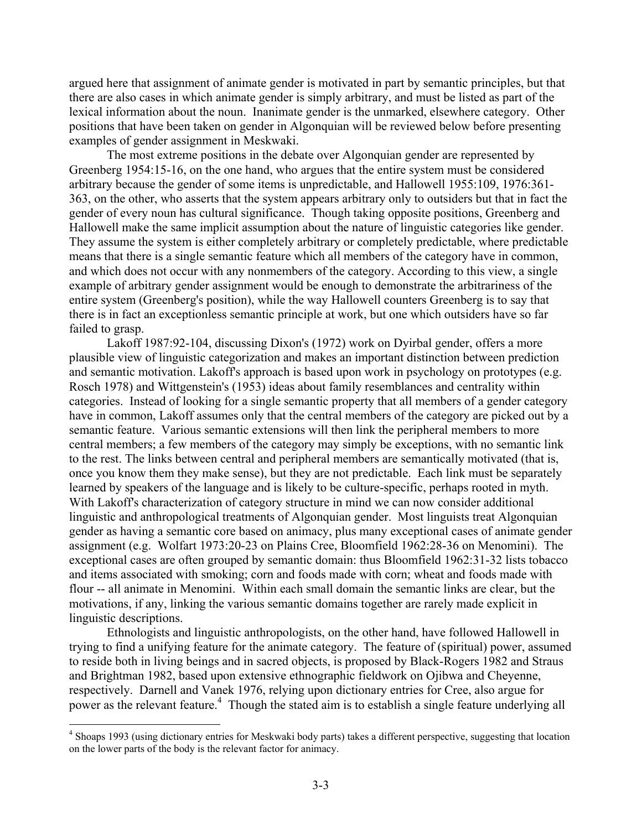argued here that assignment of animate gender is motivated in part by semantic principles, but that there are also cases in which animate gender is simply arbitrary, and must be listed as part of the lexical information about the noun. Inanimate gender is the unmarked, elsewhere category. Other positions that have been taken on gender in Algonquian will be reviewed below before presenting examples of gender assignment in Meskwaki.

The most extreme positions in the debate over Algonquian gender are represented by Greenberg 1954:15-16, on the one hand, who argues that the entire system must be considered arbitrary because the gender of some items is unpredictable, and Hallowell 1955:109, 1976:361- 363, on the other, who asserts that the system appears arbitrary only to outsiders but that in fact the gender of every noun has cultural significance. Though taking opposite positions, Greenberg and Hallowell make the same implicit assumption about the nature of linguistic categories like gender. They assume the system is either completely arbitrary or completely predictable, where predictable means that there is a single semantic feature which all members of the category have in common, and which does not occur with any nonmembers of the category. According to this view, a single example of arbitrary gender assignment would be enough to demonstrate the arbitrariness of the entire system (Greenberg's position), while the way Hallowell counters Greenberg is to say that there is in fact an exceptionless semantic principle at work, but one which outsiders have so far failed to grasp.

Lakoff 1987:92-104, discussing Dixon's (1972) work on Dyirbal gender, offers a more plausible view of linguistic categorization and makes an important distinction between prediction and semantic motivation. Lakoff's approach is based upon work in psychology on prototypes (e.g. Rosch 1978) and Wittgenstein's (1953) ideas about family resemblances and centrality within categories. Instead of looking for a single semantic property that all members of a gender category have in common, Lakoff assumes only that the central members of the category are picked out by a semantic feature. Various semantic extensions will then link the peripheral members to more central members; a few members of the category may simply be exceptions, with no semantic link to the rest. The links between central and peripheral members are semantically motivated (that is, once you know them they make sense), but they are not predictable. Each link must be separately learned by speakers of the language and is likely to be culture-specific, perhaps rooted in myth. With Lakoff's characterization of category structure in mind we can now consider additional linguistic and anthropological treatments of Algonquian gender. Most linguists treat Algonquian gender as having a semantic core based on animacy, plus many exceptional cases of animate gender assignment (e.g. Wolfart 1973:20-23 on Plains Cree, Bloomfield 1962:28-36 on Menomini). The exceptional cases are often grouped by semantic domain: thus Bloomfield 1962:31-32 lists tobacco and items associated with smoking; corn and foods made with corn; wheat and foods made with flour -- all animate in Menomini. Within each small domain the semantic links are clear, but the motivations, if any, linking the various semantic domains together are rarely made explicit in linguistic descriptions.

Ethnologists and linguistic anthropologists, on the other hand, have followed Hallowell in trying to find a unifying feature for the animate category. The feature of (spiritual) power, assumed to reside both in living beings and in sacred objects, is proposed by Black-Rogers 1982 and Straus and Brightman 1982, based upon extensive ethnographic fieldwork on Ojibwa and Cheyenne, respectively. Darnell and Vanek 1976, relying upon dictionary entries for Cree, also argue for power as the relevant feature.<sup>4</sup> Though the stated aim is to establish a single feature underlying all

<sup>&</sup>lt;sup>4</sup> Shoaps 1993 (using dictionary entries for Meskwaki body parts) takes a different perspective, suggesting that location on the lower parts of the body is the relevant factor for animacy.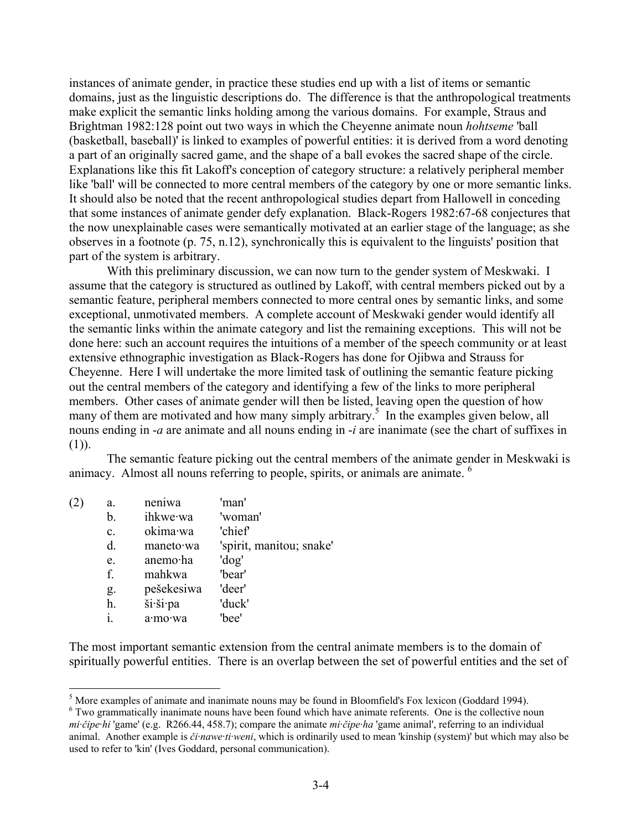instances of animate gender, in practice these studies end up with a list of items or semantic domains, just as the linguistic descriptions do. The difference is that the anthropological treatments make explicit the semantic links holding among the various domains. For example, Straus and Brightman 1982:128 point out two ways in which the Cheyenne animate noun *hohtseme* 'ball (basketball, baseball)' is linked to examples of powerful entities: it is derived from a word denoting a part of an originally sacred game, and the shape of a ball evokes the sacred shape of the circle. Explanations like this fit Lakoff's conception of category structure: a relatively peripheral member like 'ball' will be connected to more central members of the category by one or more semantic links. It should also be noted that the recent anthropological studies depart from Hallowell in conceding that some instances of animate gender defy explanation. Black-Rogers 1982:67-68 conjectures that the now unexplainable cases were semantically motivated at an earlier stage of the language; as she observes in a footnote (p. 75, n.12), synchronically this is equivalent to the linguists' position that part of the system is arbitrary.

With this preliminary discussion, we can now turn to the gender system of Meskwaki. I assume that the category is structured as outlined by Lakoff, with central members picked out by a semantic feature, peripheral members connected to more central ones by semantic links, and some exceptional, unmotivated members. A complete account of Meskwaki gender would identify all the semantic links within the animate category and list the remaining exceptions. This will not be done here: such an account requires the intuitions of a member of the speech community or at least extensive ethnographic investigation as Black-Rogers has done for Ojibwa and Strauss for Cheyenne. Here I will undertake the more limited task of outlining the semantic feature picking out the central members of the category and identifying a few of the links to more peripheral members. Other cases of animate gender will then be listed, leaving open the question of how many of them are motivated and how many simply arbitrary.<sup>5</sup> In the examples given below, all nouns ending in -*a* are animate and all nouns ending in -*i* are inanimate (see the chart of suffixes in  $(1)$ ).

The semantic feature picking out the central members of the animate gender in Meskwaki is animacy. Almost all nouns referring to people, spirits, or animals are animate. <sup>6</sup>

| a.             | neniwa     | 'man'                    |
|----------------|------------|--------------------------|
| b.             | ihkwe·wa   | 'woman'                  |
| $\mathbf{c}$ . | okima·wa   | 'chief'                  |
| d.             | maneto wa  | 'spirit, manitou; snake' |
| e.             | anemo·ha   | 'dog'                    |
| f.             | mahkwa     | 'bear'                   |
| g.             | pešekesiwa | 'deer'                   |
| h.             | ši·ši·pa   | 'duck'                   |
| i.             | a·mo·wa    | 'hee'                    |
|                |            |                          |

1

The most important semantic extension from the central animate members is to the domain of spiritually powerful entities. There is an overlap between the set of powerful entities and the set of

<sup>&</sup>lt;sup>5</sup> More examples of animate and inanimate nouns may be found in Bloomfield's Fox lexicon (Goddard 1994).

<sup>&</sup>lt;sup>6</sup> Two grammatically inanimate nouns have been found which have animate referents. One is the collective noun *mi·čipe·hi* 'game' (e.g. R266.44, 458.7); compare the animate *mi·čipe·ha* 'game animal', referring to an individual animal. Another example is *či·nawe·ti·weni*, which is ordinarily used to mean 'kinship (system)' but which may also be used to refer to 'kin' (Ives Goddard, personal communication).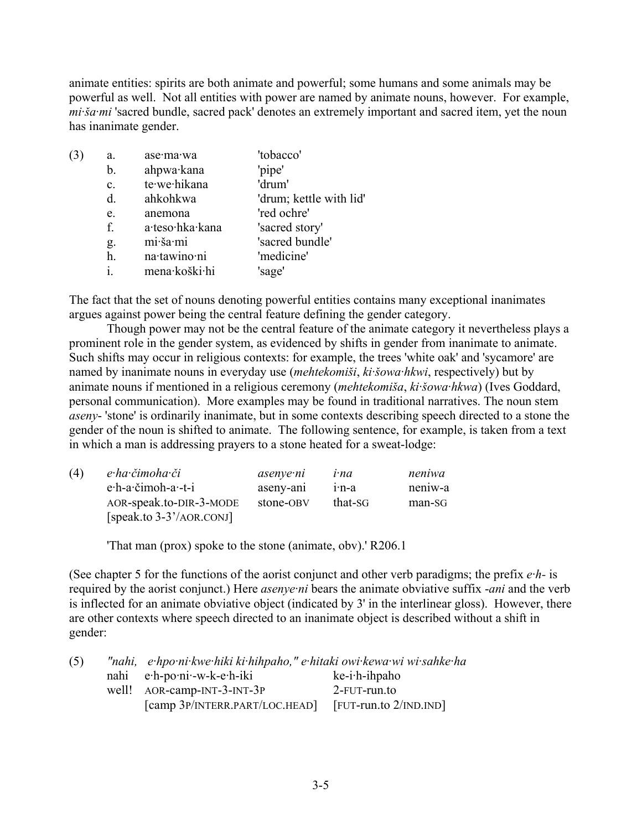animate entities: spirits are both animate and powerful; some humans and some animals may be powerful as well. Not all entities with power are named by animate nouns, however. For example, *mi·ša·mi* 'sacred bundle, sacred pack' denotes an extremely important and sacred item, yet the noun has inanimate gender.

| (3) | a.             | ase·ma·wa       | 'tobacco'               |
|-----|----------------|-----------------|-------------------------|
|     | b.             | ahpwa·kana      | 'pipe'                  |
|     | $\mathbf{c}$ . | te·we·hikana    | 'drum'                  |
|     | d.             | ahkohkwa        | 'drum; kettle with lid' |
|     | e.             | anemona         | 'red ochre'             |
|     | f.             | a·teso·hka·kana | 'sacred story'          |
|     | g.             | mi·ša·mi        | 'sacred bundle'         |
|     | h.             | na·tawino·ni    | 'medicine'              |
|     |                | mena·koški·hi   | 'sage'                  |

The fact that the set of nouns denoting powerful entities contains many exceptional inanimates argues against power being the central feature defining the gender category.

Though power may not be the central feature of the animate category it nevertheless plays a prominent role in the gender system, as evidenced by shifts in gender from inanimate to animate. Such shifts may occur in religious contexts: for example, the trees 'white oak' and 'sycamore' are named by inanimate nouns in everyday use (*mehtekomiši*, *ki·šowa·hkwi*, respectively) but by animate nouns if mentioned in a religious ceremony (*mehtekomiša*, *ki·šowa·hkwa*) (Ives Goddard, personal communication). More examples may be found in traditional narratives. The noun stem *aseny*- 'stone' is ordinarily inanimate, but in some contexts describing speech directed to a stone the gender of the noun is shifted to animate. The following sentence, for example, is taken from a text in which a man is addressing prayers to a stone heated for a sweat-lodge:

| (4) | e ha čimoha či             | asenye ni | <i>i</i> -na    | neniwa  |
|-----|----------------------------|-----------|-----------------|---------|
|     | $e$ ·h-a·čimoh-a·-t-i      | aseny-ani | $1 \cdot n - a$ | neniw-a |
|     | AOR-speak.to-DIR-3-MODE    | stone-OBV | that-SG         | man-SG  |
|     | $[speak.to 3-3'/AOR.COMJ]$ |           |                 |         |

'That man (prox) spoke to the stone (animate, obv).' R206.1

(See chapter 5 for the functions of the aorist conjunct and other verb paradigms; the prefix *e·h-* is required by the aorist conjunct.) Here *asenye·ni* bears the animate obviative suffix -*ani* and the verb is inflected for an animate obviative object (indicated by 3' in the interlinear gloss). However, there are other contexts where speech directed to an inanimate object is described without a shift in gender:

| (5) | "nahi, e hpo ni kwe hiki ki hihpaho," e hitaki owi kewa wi wi sahke ha |                           |
|-----|------------------------------------------------------------------------|---------------------------|
|     | $nahi$ e $-h$ -po $\nu$ -w-k-e $\cdot h$ -iki                          | $ke$ -i $\cdot$ h-ihpaho  |
|     | well! AOR-camp-INT-3-INT-3P                                            | 2-FUT-run.to              |
|     | [camp 3P/INTERR.PART/LOC.HEAD]                                         | [FUT-run.to $2/IND.IND$ ] |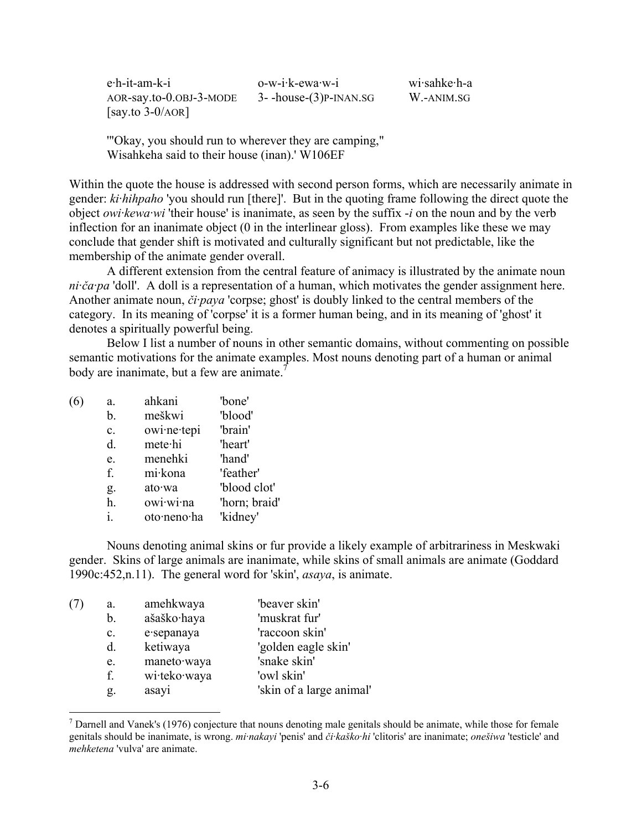| e <sub>·</sub> h-it-am-k-i | $o-w-i-k-ewa-w-i$            | wi·sahke·h-a |
|----------------------------|------------------------------|--------------|
| $AOR$ -say.to-0.0BJ-3-MODE | $3-$ -house- $(3)$ P-INAN.SG | W.-ANIM.SG   |
| $[say.to 3-0/AOR]$         |                              |              |

'"Okay, you should run to wherever they are camping," Wisahkeha said to their house (inan).' W106EF

Within the quote the house is addressed with second person forms, which are necessarily animate in gender: *ki·hihpaho* 'you should run [there]'. But in the quoting frame following the direct quote the object *owi·kewa·wi* 'their house' is inanimate, as seen by the suffix -*i* on the noun and by the verb inflection for an inanimate object (0 in the interlinear gloss). From examples like these we may conclude that gender shift is motivated and culturally significant but not predictable, like the membership of the animate gender overall.

A different extension from the central feature of animacy is illustrated by the animate noun *ni·ča·pa* 'doll'. A doll is a representation of a human, which motivates the gender assignment here. Another animate noun, *či·paya* 'corpse; ghost' is doubly linked to the central members of the category. In its meaning of 'corpse' it is a former human being, and in its meaning of 'ghost' it denotes a spiritually powerful being.

Below I list a number of nouns in other semantic domains, without commenting on possible semantic motivations for the animate examples. Most nouns denoting part of a human or animal body are inanimate, but a few are animate.<sup>7</sup>

| (6) | a.             | ahkani      | 'bone'        |
|-----|----------------|-------------|---------------|
|     | b.             | meškwi      | 'blood'       |
|     | $\mathbf{c}$ . | owi·ne·tepi | 'brain'       |
|     | d.             | metehi      | 'heart'       |
|     | e.             | menehki     | 'hand'        |
|     | f.             | mi·kona     | 'feather'     |
|     | g.             | ato·wa      | 'blood clot'  |
|     | h.             | owi·wi·na   | 'horn; braid' |
|     | i.             | oto·neno·ha | 'kidney'      |

1

Nouns denoting animal skins or fur provide a likely example of arbitrariness in Meskwaki gender. Skins of large animals are inanimate, while skins of small animals are animate (Goddard 1990c:452,n.11). The general word for 'skin', *asaya*, is animate.

| (7 | a.             | amehkwaya    | 'beaver skin'            |
|----|----------------|--------------|--------------------------|
|    | b.             | ašaško·haya  | 'muskrat fur'            |
|    | $\mathbf{c}$ . | e sepanaya   | 'raccoon skin'           |
|    | d.             | ketiwaya     | 'golden eagle skin'      |
|    | e.             | maneto·waya  | 'snake skin'             |
|    | f.             | wi·teko·waya | 'owl skin'               |
|    | g.             | asayi        | 'skin of a large animal' |

 $<sup>7</sup>$  Darnell and Vanek's (1976) conjecture that nouns denoting male genitals should be animate, while those for female</sup> genitals should be inanimate, is wrong. *mi·nakayi* 'penis' and *či·kaško·hi* 'clitoris' are inanimate; *onešiwa* 'testicle' and *mehketena* 'vulva' are animate.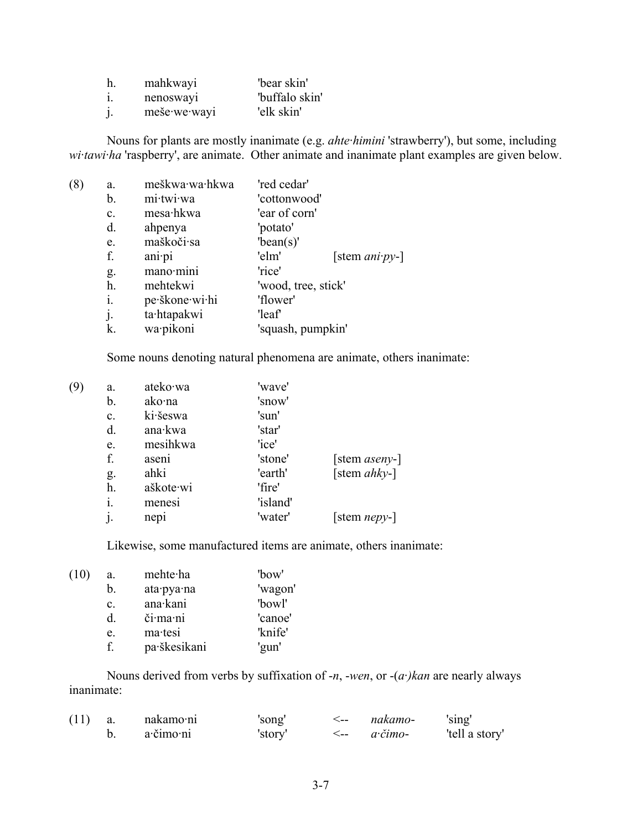| h.      | mahkwayi     | "bear skin"    |
|---------|--------------|----------------|
| 1.      | nenosway     | 'buffalo skin' |
| $\cdot$ | meše·we·wayi | 'elk skin'     |

Nouns for plants are mostly inanimate (e.g. *ahte·himini* 'strawberry'), but some, including *wi·tawi·ha* 'raspberry', are animate. Other animate and inanimate plant examples are given below.

| (8)<br>a. |                | meškwa·wa·hkwa | 'red cedar'         |                        |
|-----------|----------------|----------------|---------------------|------------------------|
|           | b.             | mi·twi·wa      | 'cottonwood'        |                        |
|           | $\mathbf{c}$ . | mesa hkwa      | 'ear of corn'       |                        |
|           | d.             | ahpenya        | 'potato'            |                        |
|           | e.             | maškoči·sa     | 'bean(s)'           |                        |
|           | f.             | anipi          | 'elm'               | [stem $ani\cdot py$ -] |
|           | g.             | mano·mini      | 'rice'              |                        |
|           | h.             | mehtekwi       | 'wood, tree, stick' |                        |
|           | i.             | pe škone wi hi | 'flower'            |                        |
|           | j.             | ta·htapakwi    | 'leaf'              |                        |
|           | k.             | wa·pikoni      | 'squash, pumpkin'   |                        |
|           |                |                |                     |                        |

Some nouns denoting natural phenomena are animate, others inanimate:

| (9) | a.             | ateko·wa  | 'wave'   |                      |
|-----|----------------|-----------|----------|----------------------|
|     | b.             | ako∙na    | 'snow'   |                      |
|     | c.             | ki·šeswa  | 'sun'    |                      |
|     | d.             | ana·kwa   | 'star'   |                      |
|     | e.             | mesihkwa  | 'ice'    |                      |
|     | f.             | aseni     | 'stone'  | [stem aseny-]        |
|     | g.             | ahki      | 'earth'  | [stem $ahky-$ ]      |
|     | h.             | aškote·wi | 'fire'   |                      |
|     | i.             | menesi    | 'island' |                      |
|     | $\mathbf{i}$ . | nepi      | 'water'  | [stem <i>nepy</i> -] |
|     |                |           |          |                      |

Likewise, some manufactured items are animate, others inanimate:

| (10) | a.             | mehte ha     | 'bow'   |
|------|----------------|--------------|---------|
|      | $\mathbf{b}$ . | ata·pya·na   | 'wagon' |
|      | $\mathbf{c}$ . | ana·kani     | 'bowl'  |
|      | d.             | či·ma·ni     | 'canoe' |
|      | e.             | ma·tesi      | 'knife' |
|      | f              | pa·škesikani | 'gun'   |

Nouns derived from verbs by suffixation of -*n*, -*wen*, or -(*a·)kan* are nearly always inanimate:

| (11) | a. | nakamo·ni | 'song'  | <-- | nakamo-               | 'sing'         |
|------|----|-----------|---------|-----|-----------------------|----------------|
|      |    | a·čimo·ni | 'story' |     | $a\text{-}\v{c}$ imo- | 'tell a story' |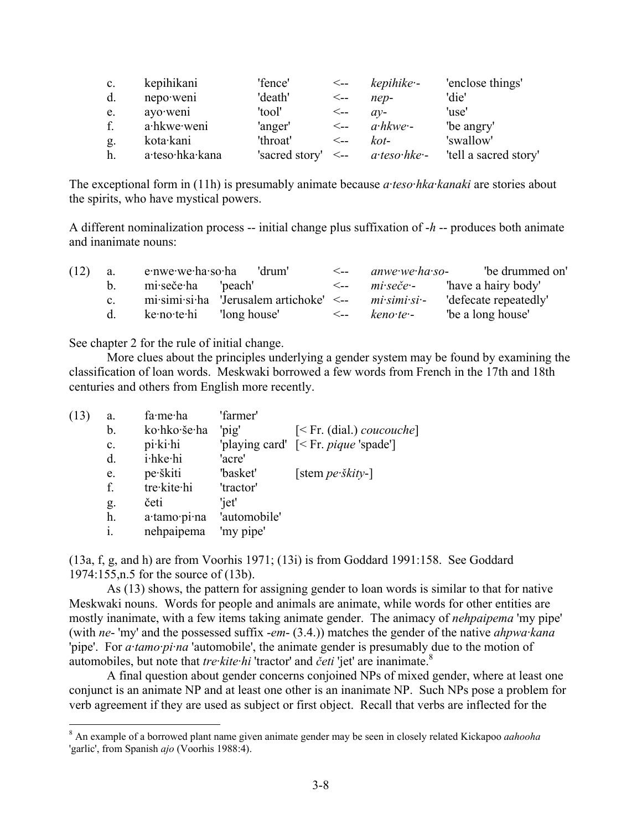| $\mathbf{c}$ . | kepihikani      | 'fence'        | <--                 | kepihike -               | 'enclose things'      |
|----------------|-----------------|----------------|---------------------|--------------------------|-----------------------|
| d.             | nepo·weni       | 'death'        | $\leftarrow$        | $nep-$                   | 'die'                 |
| e.             | ayo weni        | 'tool'         | $\leftarrow$        | $av-$                    | 'use'                 |
|                | a·hkwe·weni     | 'anger'        | <--                 | $a\cdot h$ kwe $\cdot$ - | 'be angry'            |
| g.             | kota·kani       | 'throat'       | $\lt_{\texttt{--}}$ | $k$ ot-                  | 'swallow'             |
| h.             | a·teso·hka·kana | 'sacred story' | $\lt-$              | $a$ teso hke -           | 'tell a sacred story' |

The exceptional form in (11h) is presumably animate because *a·teso·hka·kanaki* are stories about the spirits, who have mystical powers.

A different nominalization process -- initial change plus suffixation of -*h* -- produces both animate and inanimate nouns:

| (12) | a.      | e·nwe·we·ha·so·ha  | 'drum'                                                         | $\lt_{\texttt{---}}$ | anwe we ha so-                                    | 'be drummed on'       |
|------|---------|--------------------|----------------------------------------------------------------|----------------------|---------------------------------------------------|-----------------------|
|      |         | mi·seče·ha 'peach' |                                                                | $\lt_{\mathsf{--}}$  | $mi \text{·} \text{·} \text{·} \text{·} \text{·}$ | 'have a hairy body'   |
|      | $c_{-}$ |                    | $mi\cdot$ simi $\cdot$ si $\cdot$ ha 'Jerusalem artichoke' <-- |                      | $mi\cdot$ simi $\cdot$ si $\cdot$ -               | 'defecate repeatedly' |
|      |         | ke no te hi        | 'long house'                                                   | $\leftarrow$         | $kenote-$                                         | "be a long house"     |

See chapter 2 for the rule of initial change.

More clues about the principles underlying a gender system may be found by examining the classification of loan words. Meskwaki borrowed a few words from French in the 17th and 18th centuries and others from English more recently.

| (13) | a. | fa·me·ha     | 'farmer'     |                                                               |
|------|----|--------------|--------------|---------------------------------------------------------------|
|      | b. | ko·hko·še·ha | 'pig'        | $\leq$ Fr. (dial.) <i>coucouche</i>                           |
|      | c. | pi·ki·hi     |              | 'playing card' $\left[ \leq \text{Fr.}$ <i>pique</i> 'spade'] |
|      | d. | i·hke·hi     | 'acre'       |                                                               |
|      | e. | pe škiti     | 'basket'     | [stem $pe \cdot \hat{sk}$ ity-]                               |
|      | f. | tre·kite·hi  | 'tractor'    |                                                               |
|      | g. | četi         | 'iet'        |                                                               |
|      | h. | a·tamo·pi·na | 'automobile' |                                                               |
|      | i. | nehpaipema   | 'my pipe'    |                                                               |
|      |    |              |              |                                                               |

(13a, f, g, and h) are from Voorhis 1971; (13i) is from Goddard 1991:158. See Goddard 1974:155,n.5 for the source of (13b).

As (13) shows, the pattern for assigning gender to loan words is similar to that for native Meskwaki nouns. Words for people and animals are animate, while words for other entities are mostly inanimate, with a few items taking animate gender. The animacy of *nehpaipema* 'my pipe' (with *ne*- 'my' and the possessed suffix -*em*- (3.4.)) matches the gender of the native *ahpwa·kana* 'pipe'. For *a·tamo·pi·na* 'automobile', the animate gender is presumably due to the motion of automobiles, but note that *tre·kite·hi* 'tractor' and *četi* 'jet' are inanimate.8

A final question about gender concerns conjoined NPs of mixed gender, where at least one conjunct is an animate NP and at least one other is an inanimate NP. Such NPs pose a problem for verb agreement if they are used as subject or first object. Recall that verbs are inflected for the

 8 An example of a borrowed plant name given animate gender may be seen in closely related Kickapoo *aahooha* 'garlic', from Spanish *ajo* (Voorhis 1988:4).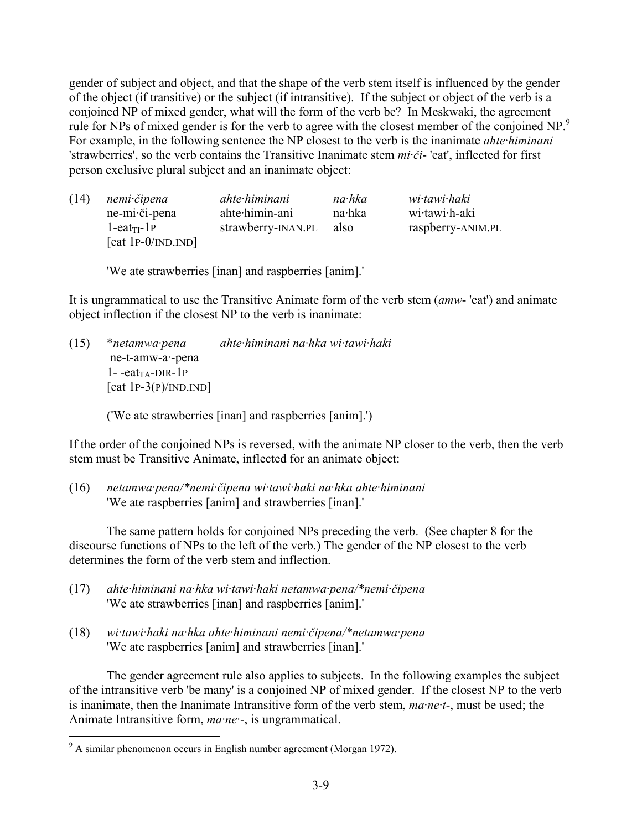gender of subject and object, and that the shape of the verb stem itself is influenced by the gender of the object (if transitive) or the subject (if intransitive). If the subject or object of the verb is a conjoined NP of mixed gender, what will the form of the verb be? In Meskwaki, the agreement rule for NPs of mixed gender is for the verb to agree with the closest member of the conjoined NP.<sup>9</sup> For example, in the following sentence the NP closest to the verb is the inanimate *ahte·himinani* 'strawberries', so the verb contains the Transitive Inanimate stem *mi·či*- 'eat', inflected for first person exclusive plural subject and an inanimate object:

| (14) | nemi čipena               | ahte himinani      | na hka | wi tawi haki      |
|------|---------------------------|--------------------|--------|-------------------|
|      | ne-mi·či-pena             | ahte himin-ani     | na·hka | wi·tawi·h-aki     |
|      | l-eat <sub>TI</sub> -1P   | strawberry-INAN.PL | also   | raspberry-ANIM.PL |
|      | [eat 1P- $0/IND$ . $ND$ ] |                    |        |                   |

'We ate strawberries [inan] and raspberries [anim].'

It is ungrammatical to use the Transitive Animate form of the verb stem (*amw*- 'eat') and animate object inflection if the closest NP to the verb is inanimate:

(15) \**netamwa·pena ahte·himinani na·hka wi·tawi·haki*  ne-t-amw-a·-pena  $1 - eat_{TA}$ -DIR-1P [eat  $1P-3(P)/IND.IND$ ]

('We ate strawberries [inan] and raspberries [anim].')

If the order of the conjoined NPs is reversed, with the animate NP closer to the verb, then the verb stem must be Transitive Animate, inflected for an animate object:

(16) *netamwa·pena/\*nemi·čipena wi·tawi·haki na·hka ahte·himinani*  'We ate raspberries [anim] and strawberries [inan].'

The same pattern holds for conjoined NPs preceding the verb. (See chapter 8 for the discourse functions of NPs to the left of the verb.) The gender of the NP closest to the verb determines the form of the verb stem and inflection.

- (17) *ahte·himinani na·hka wi·tawi·haki netamwa·pena/\*nemi·čipena* 'We ate strawberries [inan] and raspberries [anim].'
- (18) *wi·tawi·haki na·hka ahte·himinani nemi·čipena/\*netamwa·pena* 'We ate raspberries [anim] and strawberries [inan].'

The gender agreement rule also applies to subjects. In the following examples the subject of the intransitive verb 'be many' is a conjoined NP of mixed gender. If the closest NP to the verb is inanimate, then the Inanimate Intransitive form of the verb stem, *ma·ne·t*-, must be used; the Animate Intransitive form, *ma·ne·*-, is ungrammatical.

 9 A similar phenomenon occurs in English number agreement (Morgan 1972).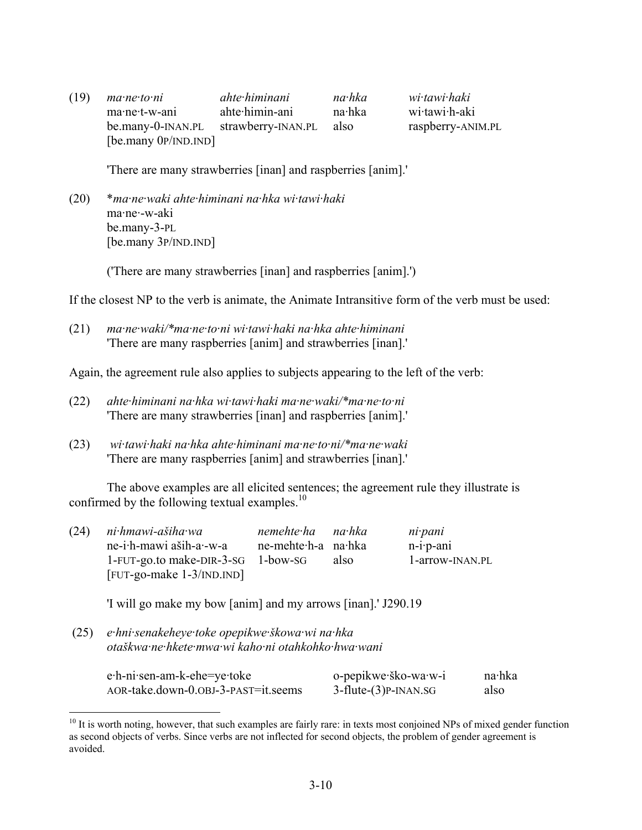| (19) | ma·ne·to·ni            | ahte himinani      | na·hka | wi tawi haki      |
|------|------------------------|--------------------|--------|-------------------|
|      | ma·ne·t-w-ani          | ahte himin-ani     | na∙hka | wi tawi h-aki     |
|      | be.many-0-INAN.PL      | strawberry-INAN.PL | also   | raspberry-ANIM.PL |
|      | [be.many $0P/INDIND$ ] |                    |        |                   |

'There are many strawberries [inan] and raspberries [anim].'

(20) \**ma·ne·waki ahte·himinani na·hka wi·tawi·haki* ma·ne·-w-aki be.many-3-PL [be.many 3P/IND.IND]

('There are many strawberries [inan] and raspberries [anim].')

If the closest NP to the verb is animate, the Animate Intransitive form of the verb must be used:

(21) *ma·ne·waki/\*ma·ne·to·ni wi·tawi·haki na·hka ahte·himinani*  'There are many raspberries [anim] and strawberries [inan].'

Again, the agreement rule also applies to subjects appearing to the left of the verb:

- (22) *ahte·himinani na·hka wi·tawi·haki ma·ne·waki/\*ma·ne·to·ni*  'There are many strawberries [inan] and raspberries [anim].'
- (23) *wi·tawi·haki na·hka ahte·himinani ma·ne·to·ni/\*ma·ne·waki* 'There are many raspberries [anim] and strawberries [inan].'

The above examples are all elicited sentences; the agreement rule they illustrate is confirmed by the following textual examples.<sup>10</sup>

| (24) | ni hmawi-ašiha wa                  | nemehte ha na hka   |      | ni pani            |
|------|------------------------------------|---------------------|------|--------------------|
|      | ne-i·h-mawi aših-a·-w-a            | ne-mehte-h-a na-hka |      | $n-i \cdot p$ -ani |
|      | 1-FUT-go.to make-DIR-3-SG 1-bow-SG |                     | also | 1-arrow-INAN.PL    |
|      | $[$ FUT-go-make $1-3$ /IND.IND $]$ |                     |      |                    |

'I will go make my bow [anim] and my arrows [inan].' J290.19

 (25) *e·hni·senakeheye·toke opepikwe·škowa·wi na·hka otaškwa·ne·hkete·mwa·wi kaho·ni otahkohko·hwa·wani*

| e·h-ni·sen-am-k-ehe=ye·toke         | o-pepikwe·ško-wa·w-i        | na∙hka |
|-------------------------------------|-----------------------------|--------|
| AOR-take.down-0.0BJ-3-PAST=it.seems | $3$ -flute- $(3)$ P-INAN.SG | also   |

 $10$  It is worth noting, however, that such examples are fairly rare: in texts most conjoined NPs of mixed gender function as second objects of verbs. Since verbs are not inflected for second objects, the problem of gender agreement is avoided.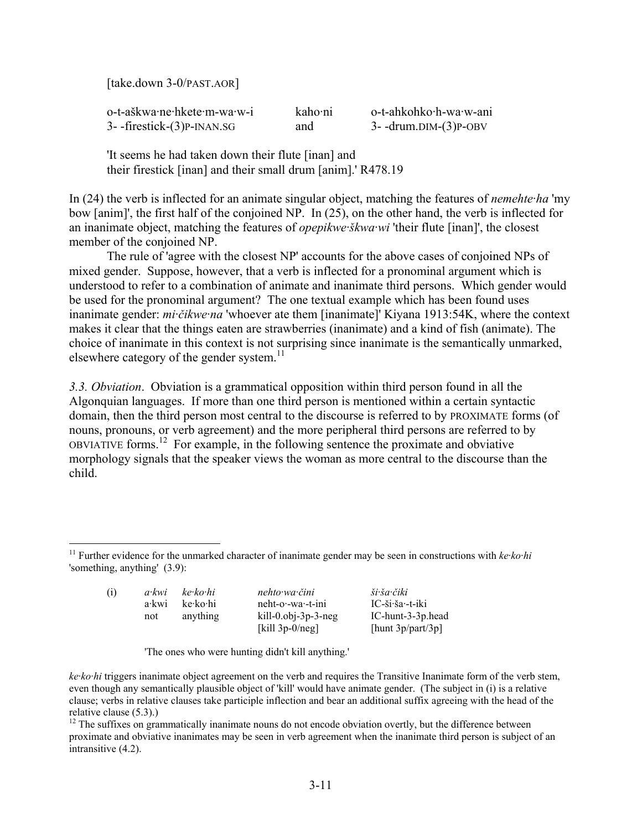[take.down 3-0/PAST.AOR]

1

| o-t-aškwa·ne·hkete·m-wa·w-i | kaho·ni | o-t-ahkohko·h-wa·w-ani      |
|-----------------------------|---------|-----------------------------|
| 3- -firestick-(3)P-INAN.SG  | and     | $3-$ -drum.DIM- $(3)$ P-OBV |

'It seems he had taken down their flute [inan] and their firestick [inan] and their small drum [anim].' R478.19

In (24) the verb is inflected for an animate singular object, matching the features of *nemehte·ha* 'my bow [anim]', the first half of the conjoined NP. In (25), on the other hand, the verb is inflected for an inanimate object, matching the features of *opepikwe·škwa·wi* 'their flute [inan]', the closest member of the conjoined NP.

The rule of 'agree with the closest NP' accounts for the above cases of conjoined NPs of mixed gender. Suppose, however, that a verb is inflected for a pronominal argument which is understood to refer to a combination of animate and inanimate third persons. Which gender would be used for the pronominal argument? The one textual example which has been found uses inanimate gender: *mi·čikwe·na* 'whoever ate them [inanimate]' Kiyana 1913:54K, where the context makes it clear that the things eaten are strawberries (inanimate) and a kind of fish (animate). The choice of inanimate in this context is not surprising since inanimate is the semantically unmarked, elsewhere category of the gender system. $11$ 

*3.3. Obviation*. Obviation is a grammatical opposition within third person found in all the Algonquian languages. If more than one third person is mentioned within a certain syntactic domain, then the third person most central to the discourse is referred to by PROXIMATE forms (of nouns, pronouns, or verb agreement) and the more peripheral third persons are referred to by OBVIATIVE forms.12 For example, in the following sentence the proximate and obviative morphology signals that the speaker views the woman as more central to the discourse than the child.

<sup>&</sup>lt;sup>11</sup> Further evidence for the unmarked character of inanimate gender may be seen in constructions with *ke·ko·hi* 'something, anything' (3.9):

| (i) | a·kwi | ke·ko·hi | nehto wa čini                        | ši ša čiki           |
|-----|-------|----------|--------------------------------------|----------------------|
|     | a•kwi | ke∙ko∙hi | $n$ eht-o $\cdot$ -wa $\cdot$ -t-ini | $IC$ -ši·ša·-t-iki   |
|     | not   | anything | $kill-0.$ obj-3p-3-neg               | IC-hunt-3-3p.head    |
|     |       |          | [kill $3p-0/neg$ ]                   | [hunt $3p/part/3p$ ] |

'The ones who were hunting didn't kill anything.'

*ke·ko·hi* triggers inanimate object agreement on the verb and requires the Transitive Inanimate form of the verb stem, even though any semantically plausible object of 'kill' would have animate gender. (The subject in (i) is a relative clause; verbs in relative clauses take participle inflection and bear an additional suffix agreeing with the head of the relative clause (5.3).)

 $12$  The suffixes on grammatically inanimate nouns do not encode obviation overtly, but the difference between proximate and obviative inanimates may be seen in verb agreement when the inanimate third person is subject of an intransitive (4.2).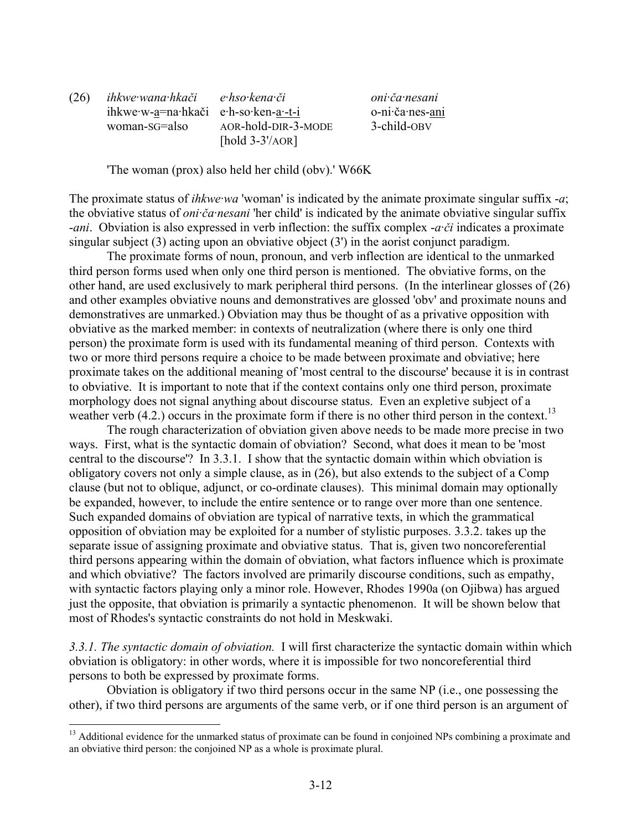(26) *ihkwe·wana·hkači e·hso·kena·či oni·ča·nesani* ihkwe·w-a=na·hkači e·h-so·ken-a·-t-i o-ni·ča·nes-ani woman-SG=also AOR-hold-DIR-3-MODE 3-child-OBV [hold 3-3'/AOR]

'The woman (prox) also held her child (obv).' W66K

The proximate status of *ihkwe·wa* 'woman' is indicated by the animate proximate singular suffix -*a*; the obviative status of *oni·ča·nesani* 'her child' is indicated by the animate obviative singular suffix -*ani*. Obviation is also expressed in verb inflection: the suffix complex -*a·či* indicates a proximate singular subject (3) acting upon an obviative object (3') in the aorist conjunct paradigm.

The proximate forms of noun, pronoun, and verb inflection are identical to the unmarked third person forms used when only one third person is mentioned. The obviative forms, on the other hand, are used exclusively to mark peripheral third persons. (In the interlinear glosses of (26) and other examples obviative nouns and demonstratives are glossed 'obv' and proximate nouns and demonstratives are unmarked.) Obviation may thus be thought of as a privative opposition with obviative as the marked member: in contexts of neutralization (where there is only one third person) the proximate form is used with its fundamental meaning of third person. Contexts with two or more third persons require a choice to be made between proximate and obviative; here proximate takes on the additional meaning of 'most central to the discourse' because it is in contrast to obviative. It is important to note that if the context contains only one third person, proximate morphology does not signal anything about discourse status. Even an expletive subject of a weather verb  $(4.2.)$  occurs in the proximate form if there is no other third person in the context.<sup>13</sup>

The rough characterization of obviation given above needs to be made more precise in two ways. First, what is the syntactic domain of obviation? Second, what does it mean to be 'most central to the discourse'? In 3.3.1. I show that the syntactic domain within which obviation is obligatory covers not only a simple clause, as in (26), but also extends to the subject of a Comp clause (but not to oblique, adjunct, or co-ordinate clauses). This minimal domain may optionally be expanded, however, to include the entire sentence or to range over more than one sentence. Such expanded domains of obviation are typical of narrative texts, in which the grammatical opposition of obviation may be exploited for a number of stylistic purposes. 3.3.2. takes up the separate issue of assigning proximate and obviative status. That is, given two noncoreferential third persons appearing within the domain of obviation, what factors influence which is proximate and which obviative? The factors involved are primarily discourse conditions, such as empathy, with syntactic factors playing only a minor role. However, Rhodes 1990a (on Ojibwa) has argued just the opposite, that obviation is primarily a syntactic phenomenon. It will be shown below that most of Rhodes's syntactic constraints do not hold in Meskwaki.

*3.3.1. The syntactic domain of obviation.* I will first characterize the syntactic domain within which obviation is obligatory: in other words, where it is impossible for two noncoreferential third persons to both be expressed by proximate forms.

Obviation is obligatory if two third persons occur in the same NP (i.e., one possessing the other), if two third persons are arguments of the same verb, or if one third person is an argument of

<sup>&</sup>lt;sup>13</sup> Additional evidence for the unmarked status of proximate can be found in conjoined NPs combining a proximate and an obviative third person: the conjoined NP as a whole is proximate plural.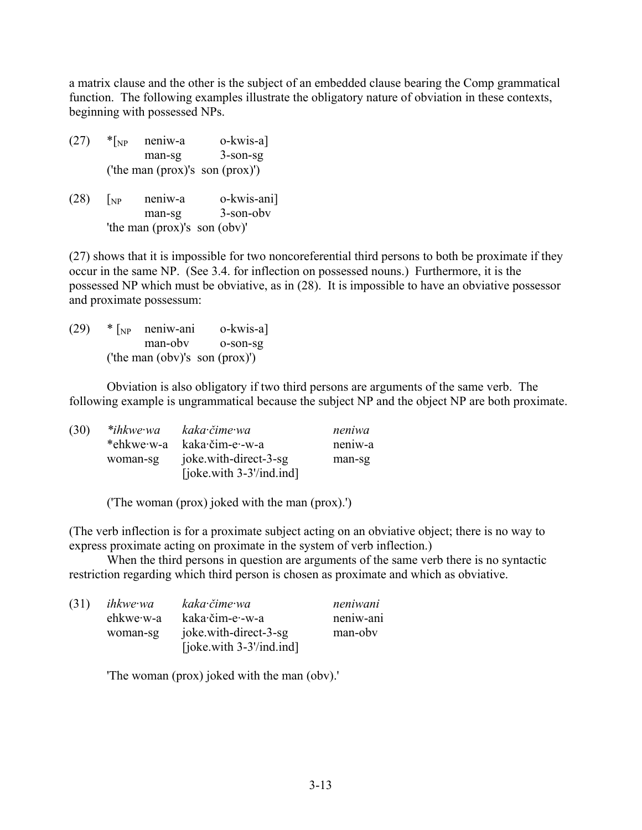a matrix clause and the other is the subject of an embedded clause bearing the Comp grammatical function. The following examples illustrate the obligatory nature of obviation in these contexts, beginning with possessed NPs.

- $(27)$  \* $\lceil_{NP}$  neniw-a o-kwis-a man-sg 3-son-sg ('the man (prox)'s son (prox)')
- (28) [NP neniw-a o-kwis-ani] man-sg 3-son-obv 'the man (prox)'s son (obv)'

(27) shows that it is impossible for two noncoreferential third persons to both be proximate if they occur in the same NP. (See 3.4. for inflection on possessed nouns.) Furthermore, it is the possessed NP which must be obviative, as in (28). It is impossible to have an obviative possessor and proximate possessum:

 $(29)$  \*  $\lceil_{NP}$  neniw-ani o-kwis-a] man-obv o-son-sg ('the man (obv)'s son (prox)')

Obviation is also obligatory if two third persons are arguments of the same verb. The following example is ungrammatical because the subject NP and the object NP are both proximate.

| (30) | *ihkwe·wa  | kaka čime wa                | neniwa  |
|------|------------|-----------------------------|---------|
|      | *ehkwe·w-a | kaka·čim-e·-w-a             | neniw-a |
|      | woman-sg   | joke with-direct-3-sg       | man-sg  |
|      |            | [joke.with $3-3$ '/ind.ind] |         |

('The woman (prox) joked with the man (prox).')

(The verb inflection is for a proximate subject acting on an obviative object; there is no way to express proximate acting on proximate in the system of verb inflection.)

When the third persons in question are arguments of the same verb there is no syntactic restriction regarding which third person is chosen as proximate and which as obviative.

| (31) | ihkwe wa  | kaka čime wa                | neniwani  |
|------|-----------|-----------------------------|-----------|
|      | ehkwe·w-a | kaka·čim-e·-w-a             | neniw-ani |
|      | woman-sg  | joke with-direct-3-sg       | man-oby   |
|      |           | [joke.with $3-3$ '/ind.ind] |           |

'The woman (prox) joked with the man (obv).'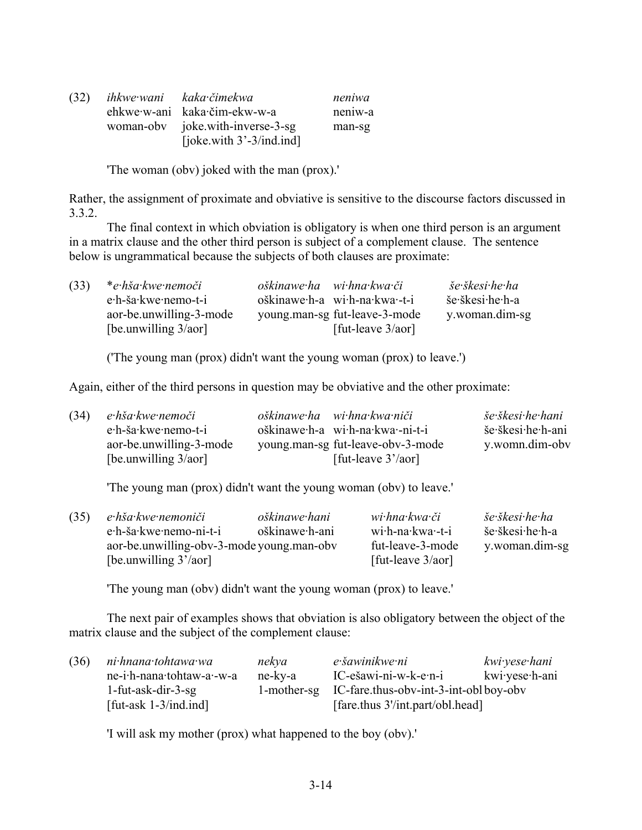| (32) | ihkwe wani kaka čimekwa          | neniwa  |
|------|----------------------------------|---------|
|      | ehkwe·w-ani kaka·čim-ekw-w-a     | neniw-a |
|      | woman-oby joke.with-inverse-3-sg | man-sg  |
|      | [joke.with $3'-3/ind$ .ind]      |         |

'The woman (obv) joked with the man (prox).'

Rather, the assignment of proximate and obviative is sensitive to the discourse factors discussed in 3.3.2.

The final context in which obviation is obligatory is when one third person is an argument in a matrix clause and the other third person is subject of a complement clause. The sentence below is ungrammatical because the subjects of both clauses are proximate:

| (33) | *e·hša·kwe·nemoči       | oškinawe ha wi hna kwa či     | še škesi he ha  |
|------|-------------------------|-------------------------------|-----------------|
|      | e.h-ša.kwe.nemo-t-i     | oškinawe h-a wi h-na kwa -t-i | še škesi he h-a |
|      | aor-be.unwilling-3-mode | young man-sg fut-leave-3-mode | y.woman.dim-sg  |
|      | [be.unwilling $3/aor$ ] | [fut-leave $3/aor$ ]          |                 |

('The young man (prox) didn't want the young woman (prox) to leave.')

Again, either of the third persons in question may be obviative and the other proximate:

| (34) | e hša kwe nemoči        | oškinawe ha wi hna kwa niči       | še škesi he hani  |
|------|-------------------------|-----------------------------------|-------------------|
|      | e·h-ša·kwe·nemo-t-i     | oškinawe·h-a wi·h-na·kwa·-ni-t-i  | še škesi he h-ani |
|      | aor-be.unwilling-3-mode | young man-sg fut-leave-oby-3-mode | y.womn.dim-oby    |
|      | [be.unwilling $3/a$ or] | [fut-leave $3'/\text{aor}$ ]      |                   |

'The young man (prox) didn't want the young woman (obv) to leave.'

| (35) | e hša kwe nemoniči                        | oškinawe hani  | wi hna kwa či                | še škesi he ha  |
|------|-------------------------------------------|----------------|------------------------------|-----------------|
|      | e·h-ša·kwe·nemo-ni-t-i                    | oškinawe·h-ani | wi <sub>th-na</sub> -kwa-t-i | še škesi he h-a |
|      | aor-be.unwilling-obv-3-mode young.man-obv |                | fut-leave-3-mode             | y.woman.dim-sg  |
|      | [be.unwilling $3'/a$ or]                  |                | [fut-leave $3/aor$ ]         |                 |

'The young man (obv) didn't want the young woman (prox) to leave.'

The next pair of examples shows that obviation is also obligatory between the object of the matrix clause and the subject of the complement clause:

| (36) | ni hnana tohtawa wa       | nekva   | e šawinikwe ni                                    | kwi yese hani  |
|------|---------------------------|---------|---------------------------------------------------|----------------|
|      | ne-i.h-nana.tohtaw-a.-w-a | ne-kv-a | IC-ešawi-ni-w-k-e·n-i                             | kwi·yese·h-ani |
|      | $1$ -fut-ask-dir-3-sg     |         | 1-mother-sg IC-fare.thus-obv-int-3-int-oblboy-obv |                |
|      | [fut-ask $1-3/ind$ .ind]  |         | [fare.thus 3'/int.part/obl.head]                  |                |

'I will ask my mother (prox) what happened to the boy (obv).'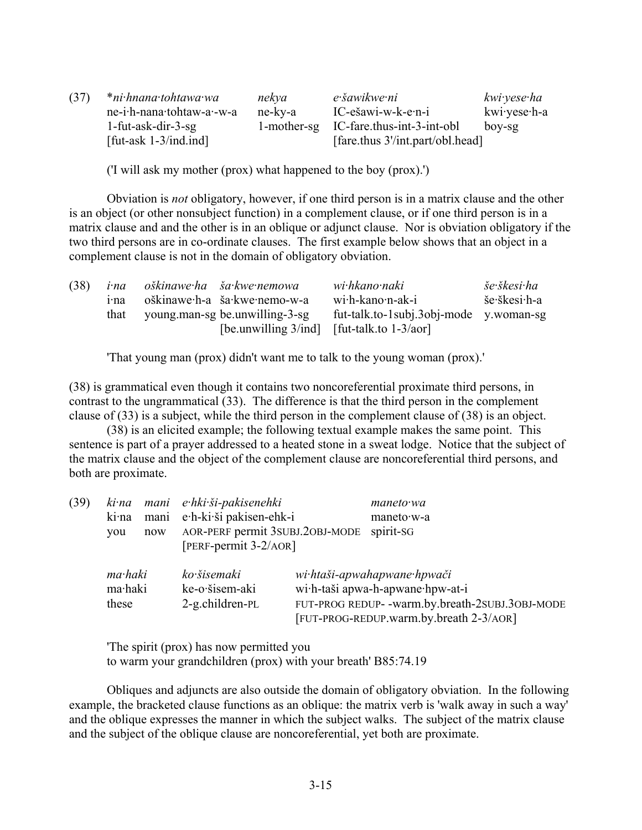| (37) | *ni·hnana·tohtawa·wa      | nekya       | e šawikwe ni                     | kwi·yese·ha  |
|------|---------------------------|-------------|----------------------------------|--------------|
|      | ne-i.h-nana.tohtaw-a.-w-a | ne-ky-a     | IC-ešawi-w-k-e·n-i               | kwi·yese·h-a |
|      | $1$ -fut-ask-dir-3-sg     | 1-mother-sg | IC-fare.thus-int-3-int-obl       | boy-sg       |
|      | [fut-ask $1-3/ind$ .ind]  |             | [fare.thus 3'/int.part/obl.head] |              |

('I will ask my mother (prox) what happened to the boy (prox).')

Obviation is *not* obligatory, however, if one third person is in a matrix clause and the other is an object (or other nonsubject function) in a complement clause, or if one third person is in a matrix clause and and the other is in an oblique or adjunct clause. Nor is obviation obligatory if the two third persons are in co-ordinate clauses. The first example below shows that an object in a complement clause is not in the domain of obligatory obviation.

| (38) | i·na<br>1 <sup>nd</sup> | oškinawe ha ša kwe nemowa<br>oškinawe·h-a ša·kwe·nemo-w-a                       | wi·hkano·naki<br>wi <sub></sub> h-kano <sub>n-ak-i</sub> | še škesi ha<br>še škesi h-a |
|------|-------------------------|---------------------------------------------------------------------------------|----------------------------------------------------------|-----------------------------|
|      | that                    | young man-sg be unwilling-3-sg<br>[be.unwilling $3/ind$ ] [fut-talk.to 1-3/aor] | fut-talk.to-1subj.3obj-mode y.woman-sg                   |                             |

'That young man (prox) didn't want me to talk to the young woman (prox).'

(38) is grammatical even though it contains two noncoreferential proximate third persons, in contrast to the ungrammatical (33). The difference is that the third person in the complement clause of (33) is a subject, while the third person in the complement clause of (38) is an object.

(38) is an elicited example; the following textual example makes the same point. This sentence is part of a prayer addressed to a heated stone in a sweat lodge. Notice that the subject of the matrix clause and the object of the complement clause are noncoreferential third persons, and both are proximate.

| (39) |         |      | ki na mani e hki ši-pakisenehki | maneto wa                                       |
|------|---------|------|---------------------------------|-------------------------------------------------|
|      | ki·na   | mani | e·h-ki·ši pakisen-ehk-i         | maneto w-a                                      |
|      | you     | now  | AOR-PERF permit 3SUBJ.2OBJ-MODE | spirit-SG                                       |
|      |         |      | $[PERF-permit 3-2/AOR]$         |                                                 |
|      | ma·haki |      | ko šisemaki                     | wi htaši-apwahapwane hpwači                     |
|      | ma·haki |      | ke-o·šisem-aki                  | wi·h-taši apwa-h-apwane·hpw-at-i                |
|      | these   |      | $2-g$ .children-PL              | FUT-PROG REDUP- -warm.by.breath-2SUBJ.30BJ-MODE |
|      |         |      |                                 | [FUT-PROG-REDUP.warm.by.breath 2-3/AOR]         |

'The spirit (prox) has now permitted you

to warm your grandchildren (prox) with your breath' B85:74.19

Obliques and adjuncts are also outside the domain of obligatory obviation. In the following example, the bracketed clause functions as an oblique: the matrix verb is 'walk away in such a way' and the oblique expresses the manner in which the subject walks. The subject of the matrix clause and the subject of the oblique clause are noncoreferential, yet both are proximate.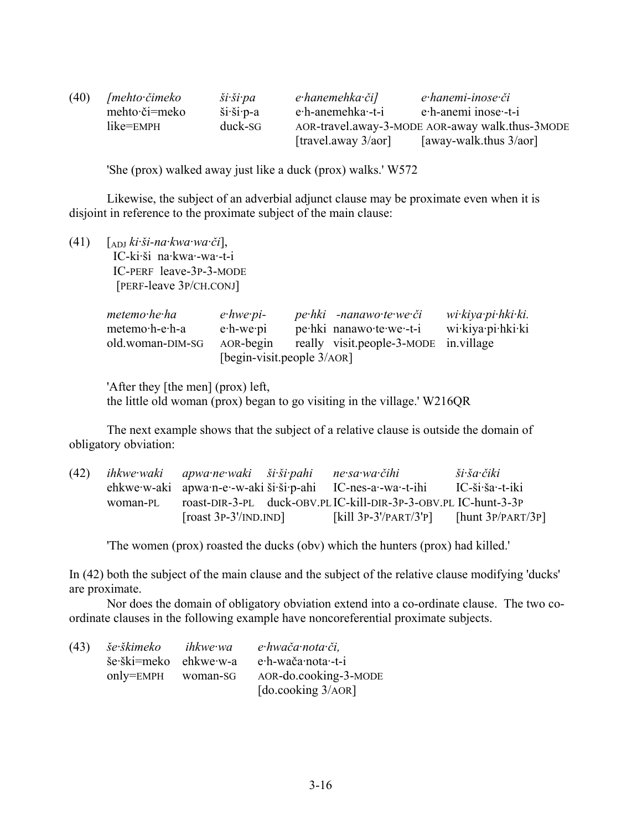| (40) | ∫mehto∙čimeko | $\check{s}i\check{}}\check{s}i\hat{}}pa$               | e hanemehka či]              | e hanemi-inose či                               |
|------|---------------|--------------------------------------------------------|------------------------------|-------------------------------------------------|
|      | mehto·či=meko | $\ddot{\text{si}}\cdot\ddot{\text{si}}\cdot\text{p-a}$ | e <sub>t</sub> -anemetha-t-i | e h-anemi inose -t-i                            |
|      | like=EMPH     | duck-SG                                                |                              | AOR-travel.away-3-MODE AOR-away walk.thus-3MODE |
|      |               |                                                        | [travel.away $3/aor$ ]       | [away-walk.thus $3/a$ or]                       |

'She (prox) walked away just like a duck (prox) walks.' W572

Likewise, the subject of an adverbial adjunct clause may be proximate even when it is disjoint in reference to the proximate subject of the main clause:

(41) [ADJ *ki·ši-na·kwa·wa·či*],

 IC-ki·ši na·kwa·-wa·-t-i IC-PERF leave-3P-3-MODE [PERF-leave 3P/CH.CONJ]

| metemo·he·ha     | $e$ -hwe-pi-                  | pe·hki -nanawo·te·we·či               | wi kiya pi hki ki. |
|------------------|-------------------------------|---------------------------------------|--------------------|
| metemo h-e h-a   | $e$ -h-we $\cdot$ pi          | pehki nanawo te we -t-i               | wi∙kiya∙pi∙hki∙ki  |
| old.woman-DIM-SG | AOR-begin                     | really visit.people-3-MODE in.village |                    |
|                  | [begin-visit.people $3/AOR$ ] |                                       |                    |

'After they [the men] (prox) left, the little old woman (prox) began to go visiting in the village.' W216QR

The next example shows that the subject of a relative clause is outside the domain of obligatory obviation:

| (42) |          | ihkwe waki apwa ne waki ši ši pahi ne sa wa čihi |                                                               | ši ša čiki           |
|------|----------|--------------------------------------------------|---------------------------------------------------------------|----------------------|
|      |          |                                                  | ehkwe·w-aki apwa·n-e·-w-aki ši·ši·p-ahi IC-nes-a·-wa·-t-ihi   | IC-ši·ša·-t-iki      |
|      | woman-PL |                                                  | roast-DIR-3-PL duck-OBV.PLIC-kill-DIR-3P-3-OBV.PLIC-hunt-3-3P |                      |
|      |          | $[roots 3P-3'/INDIND]$                           | [kill $3P-3'/PART/3'P$ ]                                      | [hunt $3P/PART/3P$ ] |

'The women (prox) roasted the ducks (obv) which the hunters (prox) had killed.'

In (42) both the subject of the main clause and the subject of the relative clause modifying 'ducks' are proximate.

Nor does the domain of obligatory obviation extend into a co-ordinate clause. The two coordinate clauses in the following example have noncoreferential proximate subjects.

| (43) | še škimeko             | ihkwe wa | e hwača nota či,      |
|------|------------------------|----------|-----------------------|
|      | še·ški=meko ehkwe·w-a  |          | e·h-wača·nota·-t-i    |
|      | $only = EMPH$ woman-SG |          | AOR-do.cooking-3-MODE |
|      |                        |          | [do.cooking $3/AOR$ ] |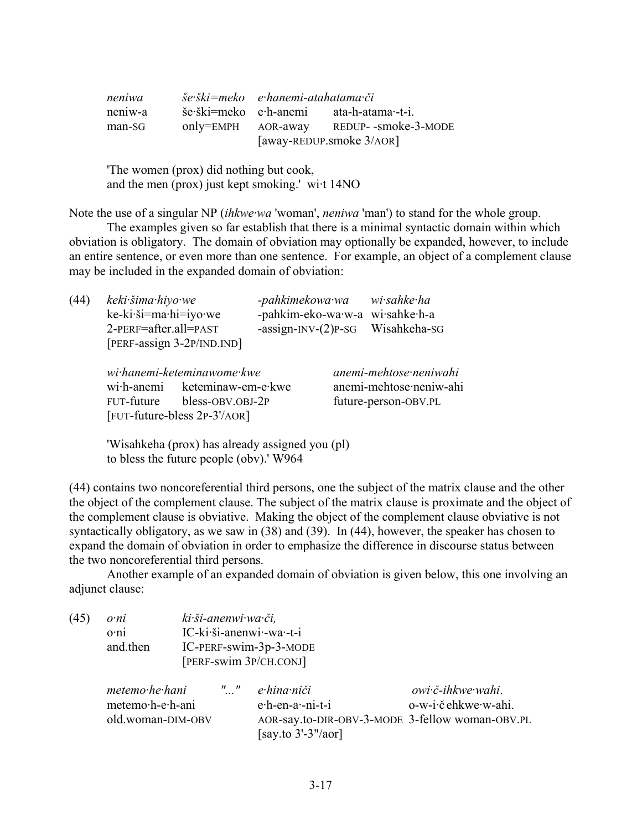| neniwa  | še ški=meko e hanemi-atahatama či |                          |
|---------|-----------------------------------|--------------------------|
| neniw-a | še ški=meko e h-anemi             | ata-h-atama·-t-i.        |
| man-SG  | only=EMPH AOR-away                | REDUP- -smoke-3-MODE     |
|         |                                   | [away-REDUP.smoke 3/AOR] |

'The women (prox) did nothing but cook, and the men (prox) just kept smoking.' wi·t 14NO

Note the use of a singular NP (*ihkwe·wa* 'woman', *neniwa* 'man') to stand for the whole group.

The examples given so far establish that there is a minimal syntactic domain within which obviation is obligatory. The domain of obviation may optionally be expanded, however, to include an entire sentence, or even more than one sentence. For example, an object of a complement clause may be included in the expanded domain of obviation:

| (44) | keki šima hiyo we<br>ke-ki·ši=ma·hi=iyo·we<br>2-PERF=after.all=PAST | [PERF-assign 3-2P/IND.IND]                                                                           | -pahkimekowa·wa<br>-assign-INV- $(2)$ P-SG | wi·sahke·ha<br>-pahkim-eko-wa·w-a wi·sahke·h-a<br>Wisahkeha-SG            |
|------|---------------------------------------------------------------------|------------------------------------------------------------------------------------------------------|--------------------------------------------|---------------------------------------------------------------------------|
|      | wi <sub></sub> h-anemi<br>FUT-future                                | wi hanemi-keteminawome kwe<br>keteminaw-em-e·kwe<br>bless-OBV.OBJ-2P<br>[FUT-future-bless 2P-3'/AOR] |                                            | anemi-mehtose neniwahi<br>anemi-mehtose·neniw-ahi<br>future-person-OBV.PL |

'Wisahkeha (prox) has already assigned you (pl) to bless the future people (obv).' W964

(44) contains two noncoreferential third persons, one the subject of the matrix clause and the other the object of the complement clause. The subject of the matrix clause is proximate and the object of the complement clause is obviative. Making the object of the complement clause obviative is not syntactically obligatory, as we saw in (38) and (39). In (44), however, the speaker has chosen to expand the domain of obviation in order to emphasize the difference in discourse status between the two noncoreferential third persons.

Another example of an expanded domain of obviation is given below, this one involving an adjunct clause:

| (45) | ki ši-anenwi wa či,<br>o <sub>n</sub> i<br>IC-ki·ši-anenwi·-wa·-t-i<br>$o$ ·ni<br>and then<br>IC-PERF-swim-3p-3-MODE<br>[PERF-swim 3P/CH.CONJ] |  |               |                                                                                                              |                                           |
|------|------------------------------------------------------------------------------------------------------------------------------------------------|--|---------------|--------------------------------------------------------------------------------------------------------------|-------------------------------------------|
|      | metemo he hani<br>metemo·h-e·h-ani<br>old.woman-DIM-OBV                                                                                        |  | $\frac{1}{2}$ | e hina niči<br>e·h-en-a·-ni-t-i<br>AOR-say.to-DIR-OBV-3-MODE 3-fellow woman-OBV.PL<br>[say.to $3'-3''/a$ or] | owi č-ihkwe wahi.<br>o-w-i·č ehkwe·w-ahi. |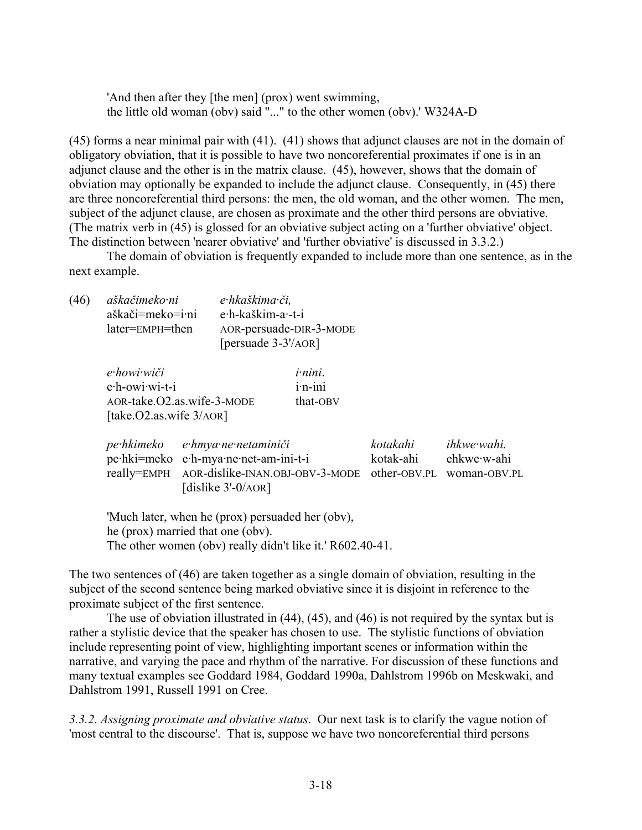'And then after they [the men] (prox) went swimming, the little old woman (obv) said "..." to the other women (obv).' W324A-D

(45) forms a near minimal pair with (41). (41) shows that adjunct clauses are not in the domain of obligatory obviation, that it is possible to have two noncoreferential proximates if one is in an adjunct clause and the other is in the matrix clause. (45), however, shows that the domain of obviation may optionally be expanded to include the adjunct clause. Consequently, in (45) there are three noncoreferential third persons: the men, the old woman, and the other women. The men, subject of the adjunct clause, are chosen as proximate and the other third persons are obviative. (The matrix verb in (45) is glossed for an obviative subject acting on a 'further obviative' object. The distinction between 'nearer obviative' and 'further obviative' is discussed in 3.3.2.)

The domain of obviation is frequently expanded to include more than one sentence, as in the next example.

| (46) | aškačimeko ni    | e hkaškima či,          |
|------|------------------|-------------------------|
|      | aškači=meko=i·ni | e·h-kaškim-a·-t-i       |
|      | later=EMPH=then  | AOR-persuade-DIR-3-MODE |
|      |                  | [ $persuade 3-3'/AOR$ ] |

| e•howi•wiči                | <i>i</i> -nini. |
|----------------------------|-----------------|
| e∙h-owi∙wi-t-i             | $i$ ·n- $i$ ni  |
| AOR-take.O2.as.wife-3-MODE | that-OBV        |
| [take.O2.as.wife $3/AOR$ ] |                 |

| pe hkimeko e hmya ne netaminiči                                       | kotakahi  | ihkwe wahi. |
|-----------------------------------------------------------------------|-----------|-------------|
| pe hki=meko e h-mya ne net-am-ini-t-i                                 | kotak-ahi | ehkwe∙w-ahi |
| really=EMPH AOR-dislike-INAN.OBJ-OBV-3-MODE other-OBV.PL woman-OBV.PL |           |             |
| [dislike $3'-0$ /AOR]                                                 |           |             |

'Much later, when he (prox) persuaded her (obv), he (prox) married that one (obv). The other women (obv) really didn't like it.' R602.40-41.

The two sentences of (46) are taken together as a single domain of obviation, resulting in the subject of the second sentence being marked obviative since it is disjoint in reference to the proximate subject of the first sentence.

The use of obviation illustrated in (44), (45), and (46) is not required by the syntax but is rather a stylistic device that the speaker has chosen to use. The stylistic functions of obviation include representing point of view, highlighting important scenes or information within the narrative, and varying the pace and rhythm of the narrative. For discussion of these functions and many textual examples see Goddard 1984, Goddard 1990a, Dahlstrom 1996b on Meskwaki, and Dahlstrom 1991, Russell 1991 on Cree.

*3.3.2. Assigning proximate and obviative status*. Our next task is to clarify the vague notion of 'most central to the discourse'. That is, suppose we have two noncoreferential third persons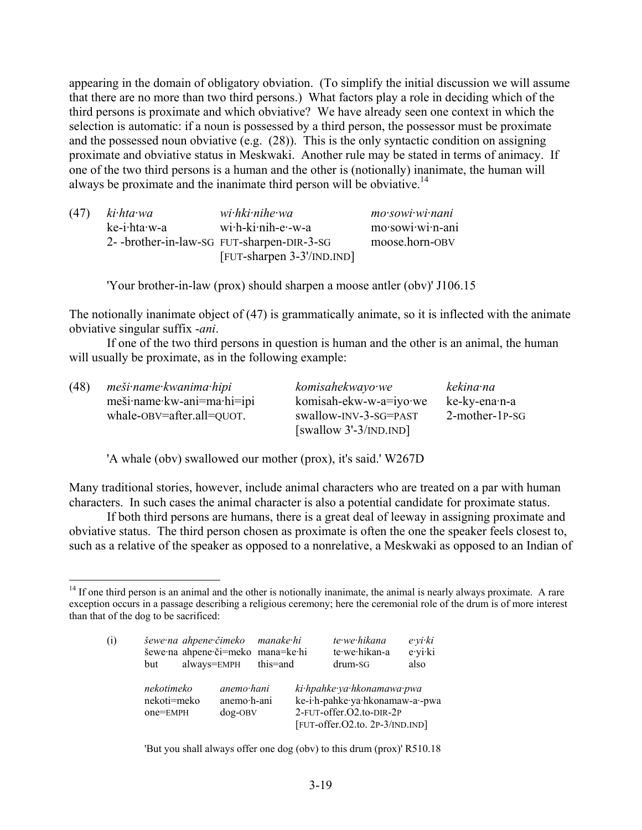appearing in the domain of obligatory obviation. (To simplify the initial discussion we will assume that there are no more than two third persons.) What factors play a role in deciding which of the third persons is proximate and which obviative? We have already seen one context in which the selection is automatic: if a noun is possessed by a third person, the possessor must be proximate and the possessed noun obviative (e.g. (28)). This is the only syntactic condition on assigning proximate and obviative status in Meskwaki. Another rule may be stated in terms of animacy. If one of the two third persons is a human and the other is (notionally) inanimate, the human will always be proximate and the inanimate third person will be obviative.<sup>14</sup>

| (47) | ki·hta·wa    | wi·hki·nihe·wa                             | mo sowi wi nani  |
|------|--------------|--------------------------------------------|------------------|
|      | ke-i·hta·w-a | wi·h-ki·nih-e·-w-a                         | mo·sowi·wi·n-ani |
|      |              | 2- -brother-in-law-SG FUT-sharpen-DIR-3-SG | moose.horn-OBV   |
|      |              | [FUT-sharpen 3-3'/IND.IND]                 |                  |

'Your brother-in-law (prox) should sharpen a moose antler (obv)' J106.15

The notionally inanimate object of (47) is grammatically animate, so it is inflected with the animate obviative singular suffix -*ani*.

If one of the two third persons in question is human and the other is an animal, the human will usually be proximate, as in the following example:

| (48) | meši name kwanima hipi     | komisahekwayo we         | kekina na         |
|------|----------------------------|--------------------------|-------------------|
|      | meši·name·kw-ani=ma·hi=ipi | komisah-ekw-w-a=iyo·we   | ke-ky-ena·n-a     |
|      | whale-OBV=after.all=QUOT.  | swallow-INV-3-SG=PAST    | $2$ -mother-1P-SG |
|      |                            | [swallow $3'-3/INDIND$ ] |                   |

'A whale (obv) swallowed our mother (prox), it's said.' W267D

1

Many traditional stories, however, include animal characters who are treated on a par with human characters. In such cases the animal character is also a potential candidate for proximate status.

If both third persons are humans, there is a great deal of leeway in assigning proximate and obviative status. The third person chosen as proximate is often the one the speaker feels closest to, such as a relative of the speaker as opposed to a nonrelative, a Meskwaki as opposed to an Indian of

 $<sup>14</sup>$  If one third person is an animal and the other is notionally inanimate, the animal is nearly always proximate. A rare</sup> exception occurs in a passage describing a religious ceremony; here the ceremonial role of the drum is of more interest than that of the dog to be sacrificed:

| (i) | šewe na ahpene čimeko manake hi<br>šewe na ahpene či=meko mana=ke hi<br>but | always=EMPH                                  | this=and | te·we·hikana<br>te·we·hikan-a<br>drum-SG                                                                                     | $e$ ·yi·ki<br>e·yi·ki<br>also |
|-----|-----------------------------------------------------------------------------|----------------------------------------------|----------|------------------------------------------------------------------------------------------------------------------------------|-------------------------------|
|     | nekotimeko<br>nekoti=meko<br>one=EMPH                                       | $anemo \cdot hani$<br>anemo h-ani<br>dog-OBV |          | ki hpahke ya hkonamawa pwa<br>ke-i·h-pahke·ya·hkonamaw-a·-pwa<br>2-FUT-offer.O2.to-DIR-2P<br>[FUT-offer.O2.to. 2P-3/IND.IND] |                               |

'But you shall always offer one dog (obv) to this drum (prox)' R510.18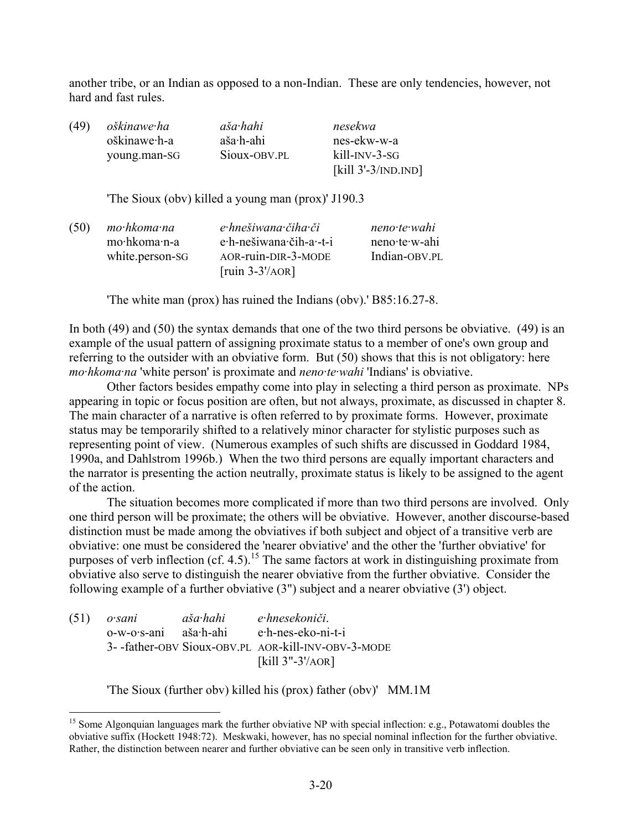another tribe, or an Indian as opposed to a non-Indian. These are only tendencies, however, not hard and fast rules.

| (49) | oškinawe ha  | aša hahi     | nesekwa               |
|------|--------------|--------------|-----------------------|
|      | oškinawe·h-a | aša·h-ahi    | nes-ekw-w-a           |
|      | young.man-SG | Sioux-OBV.PL | kill-INV-3-SG         |
|      |              |              | [kill $3'-3/INDIND$ ] |

'The Sioux (obv) killed a young man (prox)' J190.3

| mo·hkoma·na     | e hnešiwana čiha či     | $neno$ te wahi |
|-----------------|-------------------------|----------------|
| mo·hkoma·n-a    | e·h-nešiwana·čih-a·-t-i | neno te w-ahi  |
| white person-SG | AOR-ruin-DIR-3-MODE     | Indian-OBV.PL  |
|                 | $[ruin 3-3'/AOR]$       |                |
|                 |                         |                |

'The white man (prox) has ruined the Indians (obv).' B85:16.27-8.

In both (49) and (50) the syntax demands that one of the two third persons be obviative. (49) is an example of the usual pattern of assigning proximate status to a member of one's own group and referring to the outsider with an obviative form. But (50) shows that this is not obligatory: here *mo·hkoma·na* 'white person' is proximate and *neno·te·wahi* 'Indians' is obviative.

Other factors besides empathy come into play in selecting a third person as proximate. NPs appearing in topic or focus position are often, but not always, proximate, as discussed in chapter 8. The main character of a narrative is often referred to by proximate forms. However, proximate status may be temporarily shifted to a relatively minor character for stylistic purposes such as representing point of view. (Numerous examples of such shifts are discussed in Goddard 1984, 1990a, and Dahlstrom 1996b.) When the two third persons are equally important characters and the narrator is presenting the action neutrally, proximate status is likely to be assigned to the agent of the action.

The situation becomes more complicated if more than two third persons are involved. Only one third person will be proximate; the others will be obviative. However, another discourse-based distinction must be made among the obviatives if both subject and object of a transitive verb are obviative: one must be considered the 'nearer obviative' and the other the 'further obviative' for purposes of verb inflection (cf. 4.5).<sup>15</sup> The same factors at work in distinguishing proximate from obviative also serve to distinguish the nearer obviative from the further obviative. Consider the following example of a further obviative (3") subject and a nearer obviative (3') object.

| $(51)$ osani          | aša hahi | e hnesekoniči.                                      |
|-----------------------|----------|-----------------------------------------------------|
| o-w-o·s-ani aša·h-ahi |          | e·h-nes-eko-ni-t-i                                  |
|                       |          | 3- -father-OBV Sioux-OBV.PL AOR-kill-INV-OBV-3-MODE |
|                       |          | [kill $3"$ -3'/AOR]                                 |

1

'The Sioux (further obv) killed his (prox) father (obv)' MM.1M

<sup>&</sup>lt;sup>15</sup> Some Algonquian languages mark the further obviative NP with special inflection: e.g., Potawatomi doubles the obviative suffix (Hockett 1948:72). Meskwaki, however, has no special nominal inflection for the further obviative. Rather, the distinction between nearer and further obviative can be seen only in transitive verb inflection.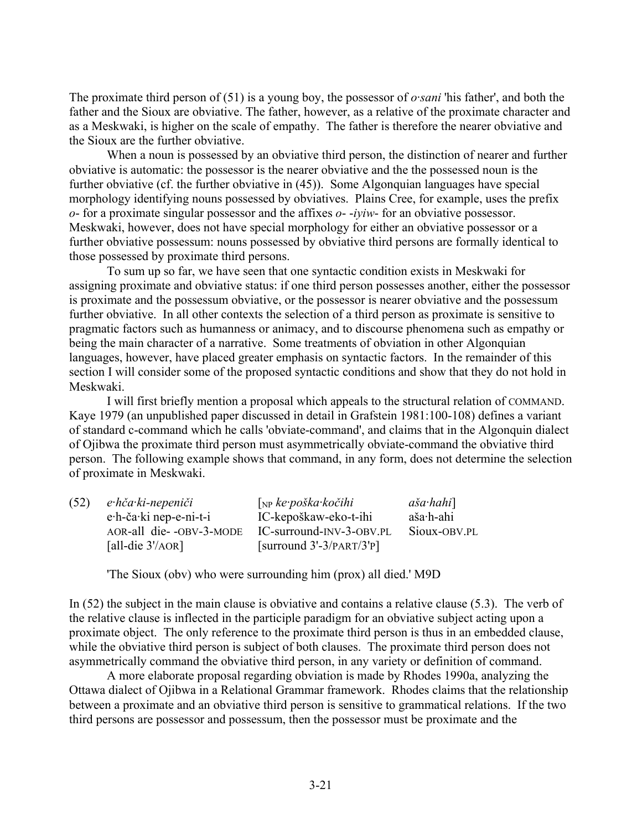The proximate third person of (51) is a young boy, the possessor of *o·sani* 'his father', and both the father and the Sioux are obviative. The father, however, as a relative of the proximate character and as a Meskwaki, is higher on the scale of empathy. The father is therefore the nearer obviative and the Sioux are the further obviative.

When a noun is possessed by an obviative third person, the distinction of nearer and further obviative is automatic: the possessor is the nearer obviative and the the possessed noun is the further obviative (cf. the further obviative in (45)). Some Algonquian languages have special morphology identifying nouns possessed by obviatives. Plains Cree, for example, uses the prefix *o*- for a proximate singular possessor and the affixes *o*- -*iyiw*- for an obviative possessor. Meskwaki, however, does not have special morphology for either an obviative possessor or a further obviative possessum: nouns possessed by obviative third persons are formally identical to those possessed by proximate third persons.

To sum up so far, we have seen that one syntactic condition exists in Meskwaki for assigning proximate and obviative status: if one third person possesses another, either the possessor is proximate and the possessum obviative, or the possessor is nearer obviative and the possessum further obviative. In all other contexts the selection of a third person as proximate is sensitive to pragmatic factors such as humanness or animacy, and to discourse phenomena such as empathy or being the main character of a narrative. Some treatments of obviation in other Algonquian languages, however, have placed greater emphasis on syntactic factors. In the remainder of this section I will consider some of the proposed syntactic conditions and show that they do not hold in Meskwaki.

I will first briefly mention a proposal which appeals to the structural relation of COMMAND. Kaye 1979 (an unpublished paper discussed in detail in Grafstein 1981:100-108) defines a variant of standard c-command which he calls 'obviate-command', and claims that in the Algonquin dialect of Ojibwa the proximate third person must asymmetrically obviate-command the obviative third person. The following example shows that command, in any form, does not determine the selection of proximate in Meskwaki.

| (52) | e hča ki-nepeniči        | $\int_{NP}$ ke·poška·kočihi | $a\check{s}a\hat{h}ahi$ |
|------|--------------------------|-----------------------------|-------------------------|
|      | e·h-ča·ki nep-e-ni-t-i   | IC-kepoškaw-eko-t-ihi       | aša·h-ahi               |
|      | AOR-all die- -OBV-3-MODE | IC-surround-INV-3-OBV.PL    | Sioux-OBV.PL            |
|      | [all-die $3'/AOR$ ]      | [surround $3'-3/PART/3'P$ ] |                         |

'The Sioux (obv) who were surrounding him (prox) all died.' M9D

In (52) the subject in the main clause is obviative and contains a relative clause (5.3). The verb of the relative clause is inflected in the participle paradigm for an obviative subject acting upon a proximate object. The only reference to the proximate third person is thus in an embedded clause, while the obviative third person is subject of both clauses. The proximate third person does not asymmetrically command the obviative third person, in any variety or definition of command.

A more elaborate proposal regarding obviation is made by Rhodes 1990a, analyzing the Ottawa dialect of Ojibwa in a Relational Grammar framework. Rhodes claims that the relationship between a proximate and an obviative third person is sensitive to grammatical relations. If the two third persons are possessor and possessum, then the possessor must be proximate and the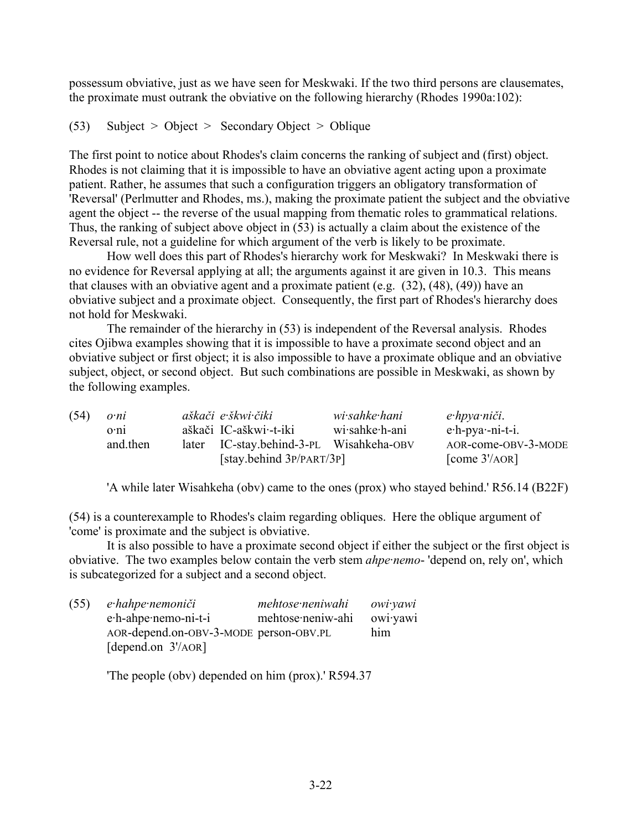possessum obviative, just as we have seen for Meskwaki. If the two third persons are clausemates, the proximate must outrank the obviative on the following hierarchy (Rhodes 1990a:102):

```
(53) Subject > Object > Secondary Object > Oblique
```
The first point to notice about Rhodes's claim concerns the ranking of subject and (first) object. Rhodes is not claiming that it is impossible to have an obviative agent acting upon a proximate patient. Rather, he assumes that such a configuration triggers an obligatory transformation of 'Reversal' (Perlmutter and Rhodes, ms.), making the proximate patient the subject and the obviative agent the object -- the reverse of the usual mapping from thematic roles to grammatical relations. Thus, the ranking of subject above object in (53) is actually a claim about the existence of the Reversal rule, not a guideline for which argument of the verb is likely to be proximate.

How well does this part of Rhodes's hierarchy work for Meskwaki? In Meskwaki there is no evidence for Reversal applying at all; the arguments against it are given in 10.3. This means that clauses with an obviative agent and a proximate patient (e.g. (32), (48), (49)) have an obviative subject and a proximate object. Consequently, the first part of Rhodes's hierarchy does not hold for Meskwaki.

The remainder of the hierarchy in (53) is independent of the Reversal analysis. Rhodes cites Ojibwa examples showing that it is impossible to have a proximate second object and an obviative subject or first object; it is also impossible to have a proximate oblique and an obviative subject, object, or second object. But such combinations are possible in Meskwaki, as shown by the following examples.

| (54) | o <sub>n</sub> i |       | aškači e škwi čiki                       | wi·sahke·hani  | e hpya niči.        |
|------|------------------|-------|------------------------------------------|----------------|---------------------|
|      | 0:11             |       | aškači IC-aškwi·-t-iki                   | wi·sahke·h-ani | $e$ -h-pya·-ni-t-i. |
|      | and then         | later | IC-stay.behind-3-PL Wisahkeha-OBV        |                | AOR-come-OBV-3-MODE |
|      |                  |       | $\left[$ stay.behind $3P/PART/3P\right]$ |                | [come $3'/AOR$ ]    |

'A while later Wisahkeha (obv) came to the ones (prox) who stayed behind.' R56.14 (B22F)

(54) is a counterexample to Rhodes's claim regarding obliques. Here the oblique argument of 'come' is proximate and the subject is obviative.

It is also possible to have a proximate second object if either the subject or the first object is obviative. The two examples below contain the verb stem *ahpe·nemo*- 'depend on, rely on', which is subcategorized for a subject and a second object.

| (55) | e hahpe nemoniči                       | mehtose neniwahi  | owi yawi |
|------|----------------------------------------|-------------------|----------|
|      | e.h-ahpe.nemo-ni-t-i                   | mehtose neniw-ahi | owiyawi  |
|      | AOR-depend.on-OBV-3-MODE person-OBV.PL |                   | him      |
|      | [depend.on $3'/AOR$ ]                  |                   |          |

'The people (obv) depended on him (prox).' R594.37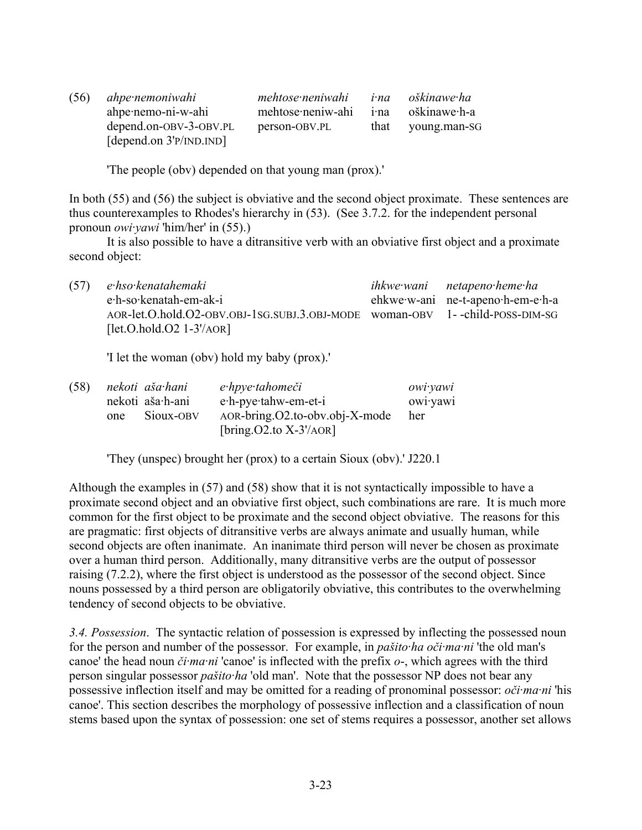| (56) | ahpe nemoniwahi           | mehtose neniwahi  |              | <i>i</i> na oškinawe ha |
|------|---------------------------|-------------------|--------------|-------------------------|
|      | ahpe·nemo-ni-w-ahi        | mehtose neniw-ahi | $1 \cdot na$ | oškinawe∙h-a            |
|      | depend.on-OBV-3-OBV.PL    | person-OBV.PL     |              | that young man-SG       |
|      | [depend.on $3'P/INDIND$ ] |                   |              |                         |

'The people (obv) depended on that young man (prox).'

In both (55) and (56) the subject is obviative and the second object proximate. These sentences are thus counterexamples to Rhodes's hierarchy in (53). (See 3.7.2. for the independent personal pronoun *owi·yawi* 'him/her' in (55).)

It is also possible to have a ditransitive verb with an obviative first object and a proximate second object:

(57) *e·hso·kenatahemaki ihkwe·wani netapeno·heme·ha* e·h-so·kenatah-em-ak-i ehkwe·w-ani ne-t-apeno·h-em-e·h-a AOR-let.O.hold.O2-OBV.OBJ-1SG.SUBJ.3.OBJ-MODE woman-OBV 1- -child-POSS-DIM-SG  $[let.O.hold.O2 1-3'/AOR]$ 

'I let the woman (obv) hold my baby (prox).'

| (58) |     | nekoti aša hani  | e·hpye·tahomeči                    | owi yawi |
|------|-----|------------------|------------------------------------|----------|
|      |     | nekoti aša·h-ani | e.h-pye.tahw-em-et-i               | owiyawi  |
|      | one | Sioux-OBV        | $AOR-bring. O2.to-obv. obj-X-mode$ | her      |
|      |     |                  | [bring. $O2$ .to $X-3'/AOR$ ]      |          |

'They (unspec) brought her (prox) to a certain Sioux (obv).' J220.1

Although the examples in (57) and (58) show that it is not syntactically impossible to have a proximate second object and an obviative first object, such combinations are rare. It is much more common for the first object to be proximate and the second object obviative. The reasons for this are pragmatic: first objects of ditransitive verbs are always animate and usually human, while second objects are often inanimate. An inanimate third person will never be chosen as proximate over a human third person. Additionally, many ditransitive verbs are the output of possessor raising (7.2.2), where the first object is understood as the possessor of the second object. Since nouns possessed by a third person are obligatorily obviative, this contributes to the overwhelming tendency of second objects to be obviative.

*3.4. Possession*. The syntactic relation of possession is expressed by inflecting the possessed noun for the person and number of the possessor. For example, in *pašito·ha oči·ma·ni* 'the old man's canoe' the head noun *či·ma·ni* 'canoe' is inflected with the prefix *o*-, which agrees with the third person singular possessor *pašito·ha* 'old man'. Note that the possessor NP does not bear any possessive inflection itself and may be omitted for a reading of pronominal possessor: *oči·ma·ni* 'his canoe'. This section describes the morphology of possessive inflection and a classification of noun stems based upon the syntax of possession: one set of stems requires a possessor, another set allows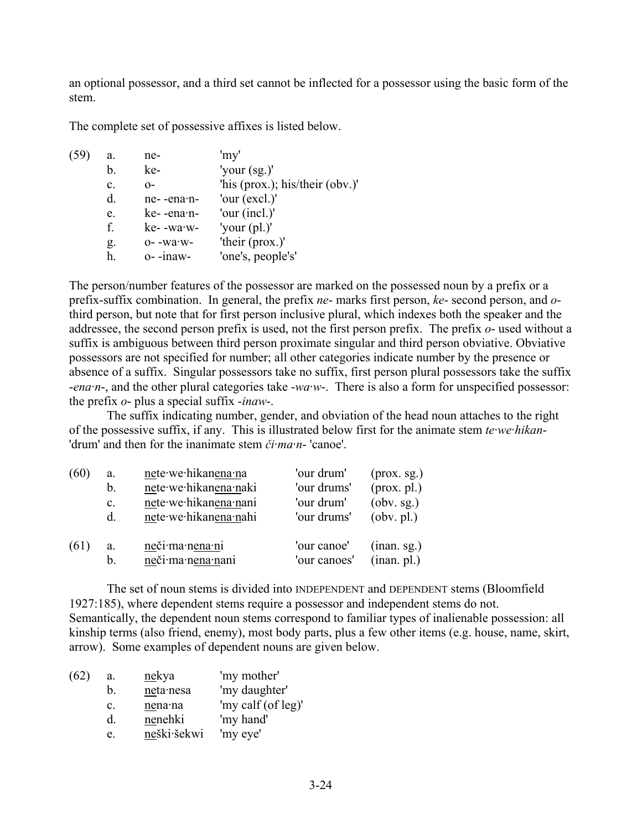an optional possessor, and a third set cannot be inflected for a possessor using the basic form of the stem.

The complete set of possessive affixes is listed below.

| (59) | a.             | ne-                 | 'my'                             |
|------|----------------|---------------------|----------------------------------|
|      | b.             | ke-                 | 'your $(sg)$ '                   |
|      | $\mathbf{c}$ . | $O-$                | 'his (prox.); his/their (obv.)'  |
|      | d.             | ne--ena·n-          | 'our (excl.)'                    |
|      | e.             | ke--ena-n-          | 'our (incl.)'                    |
|      | f.             | ke- -wa·w-          | 'your $\left(\text{pl.}\right)'$ |
|      | g.             | $0-$ -wa $\cdot$ w- | 'their (prox.)'                  |
|      | h.             | o--inaw-            | 'one's, people's'                |
|      |                |                     |                                  |

The person/number features of the possessor are marked on the possessed noun by a prefix or a prefix-suffix combination. In general, the prefix *ne*- marks first person, *ke*- second person, and *o*third person, but note that for first person inclusive plural, which indexes both the speaker and the addressee, the second person prefix is used, not the first person prefix. The prefix *o*- used without a suffix is ambiguous between third person proximate singular and third person obviative. Obviative possessors are not specified for number; all other categories indicate number by the presence or absence of a suffix. Singular possessors take no suffix, first person plural possessors take the suffix -*ena·n*-, and the other plural categories take -*wa·w*-. There is also a form for unspecified possessor: the prefix *o*- plus a special suffix -*inaw*-.

The suffix indicating number, gender, and obviation of the head noun attaches to the right of the possessive suffix, if any. This is illustrated below first for the animate stem *te·we·hikan*- 'drum' and then for the inanimate stem *či·ma·n*- 'canoe'.

| (60) | a.             | nete we hikanena na   | 'our drum'   | $(\text{prox. sg.})$ |
|------|----------------|-----------------------|--------------|----------------------|
|      | b.             | nete·we·hikanena·naki | 'our drums'  | $(\text{prox. pl.})$ |
|      | $\mathbf{c}$ . | nete·we·hikanena·nani | 'our drum'   | (obv. sg.)           |
|      | $d_{\cdot}$    | nete·we·hikanena·nahi | 'our drums'  | (obv. pl.)           |
| (61) | a.             | neči·ma·nena·ni       | 'our canoe'  | (inan. sg.)          |
|      | b.             | neči·ma·nena·nani     | 'our canoes' | (inan. pl.)          |

The set of noun stems is divided into INDEPENDENT and DEPENDENT stems (Bloomfield 1927:185), where dependent stems require a possessor and independent stems do not. Semantically, the dependent noun stems correspond to familiar types of inalienable possession: all kinship terms (also friend, enemy), most body parts, plus a few other items (e.g. house, name, skirt, arrow). Some examples of dependent nouns are given below.

| (62) | a.             | <u>nekya</u> | 'my mother'        |
|------|----------------|--------------|--------------------|
|      | b.             | neta nesa    | 'my daughter'      |
|      | $\mathbf{c}$ . | nena na      | 'my calf (of leg)' |
|      | d.             | nenehki      | 'my hand'          |
|      | e.             | neški šekwi  | 'my eye'           |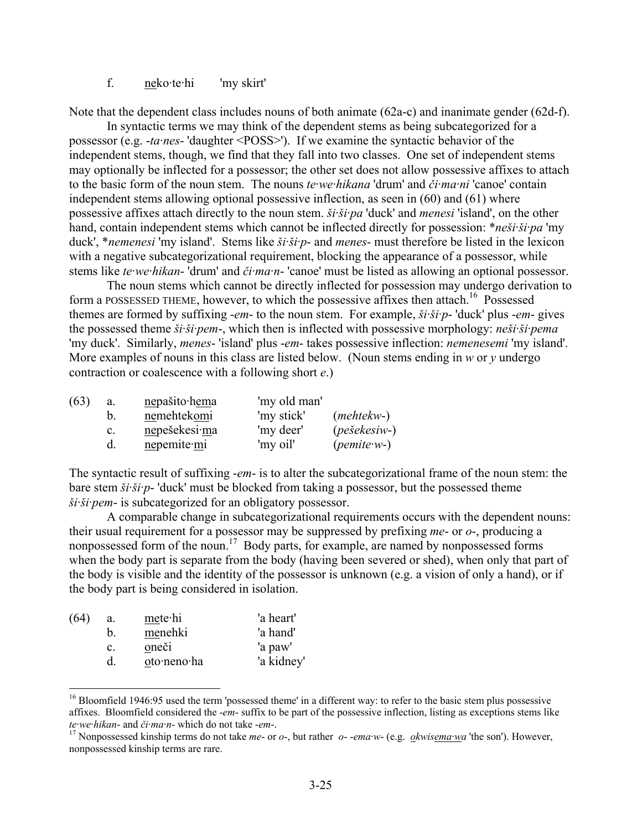## f. neko·te·hi 'my skirt'

Note that the dependent class includes nouns of both animate (62a-c) and inanimate gender (62d-f).

In syntactic terms we may think of the dependent stems as being subcategorized for a possessor (e.g. -*ta·nes*- 'daughter <POSS>'). If we examine the syntactic behavior of the independent stems, though, we find that they fall into two classes. One set of independent stems may optionally be inflected for a possessor; the other set does not allow possessive affixes to attach to the basic form of the noun stem. The nouns *te·we·hikana* 'drum' and *či·ma·ni* 'canoe' contain independent stems allowing optional possessive inflection, as seen in (60) and (61) where possessive affixes attach directly to the noun stem. *ši·ši·pa* 'duck' and *menesi* 'island', on the other hand, contain independent stems which cannot be inflected directly for possession: \**neši·ši·pa* 'my duck', \**nemenesi* 'my island'. Stems like *ši·ši·p*- and *menes*- must therefore be listed in the lexicon with a negative subcategorizational requirement, blocking the appearance of a possessor, while stems like *te·we·hikan*- 'drum' and *či·ma·n*- 'canoe' must be listed as allowing an optional possessor.

The noun stems which cannot be directly inflected for possession may undergo derivation to form a POSSESSED THEME, however, to which the possessive affixes then attach.<sup>16</sup> Possessed themes are formed by suffixing -*em*- to the noun stem. For example, *ši·ši·p*- 'duck' plus -*em*- gives the possessed theme *ši·ši·pem*-, which then is inflected with possessive morphology: *neši·ši·pema* 'my duck'. Similarly, *menes*- 'island' plus -*em*- takes possessive inflection: *nemenesemi* 'my island'. More examples of nouns in this class are listed below. (Noun stems ending in *w* or *y* undergo contraction or coalescence with a following short *e*.)

| (63) | a. | nepašito hema | 'my old man' |                         |
|------|----|---------------|--------------|-------------------------|
|      |    | nemehtekomi   | 'my stick'   | $(mehtekw-)$            |
|      | C. | nepešekesi ma | 'my deer'    | $(\textit{pešekesiv-})$ |
|      |    | nepemite mi   | 'my oil'     | $(pemite·w-)$           |

The syntactic result of suffixing -*em*- is to alter the subcategorizational frame of the noun stem: the bare stem *ši·ši·p*- 'duck' must be blocked from taking a possessor, but the possessed theme *ši·ši·pem*- is subcategorized for an obligatory possessor.

A comparable change in subcategorizational requirements occurs with the dependent nouns: their usual requirement for a possessor may be suppressed by prefixing *me*- or *o*-, producing a nonpossessed form of the noun.<sup>17</sup> Body parts, for example, are named by nonpossessed forms when the body part is separate from the body (having been severed or shed), when only that part of the body is visible and the identity of the possessor is unknown (e.g. a vision of only a hand), or if the body part is being considered in isolation.

| (64) | a.             | metehi      | 'a heart'  |
|------|----------------|-------------|------------|
|      | b.             | menehki     | 'a hand'   |
|      | $\mathbf{c}$ . | oneči       | 'a paw'    |
|      | d.             | oto·neno·ha | 'a kidney' |
|      |                |             |            |

 $16$  Bloomfield 1946:95 used the term 'possessed theme' in a different way: to refer to the basic stem plus possessive affixes. Bloomfield considered the -*em*- suffix to be part of the possessive inflection, listing as exceptions stems like te we hikan- and či ma n- which do not take -em-.<br><sup>17</sup> Nonpossessed kinship terms do not take *me*- or *o*-, but rather *o--ema w*- (e.g. *okwisema wa* 'the son'). However,

nonpossessed kinship terms are rare.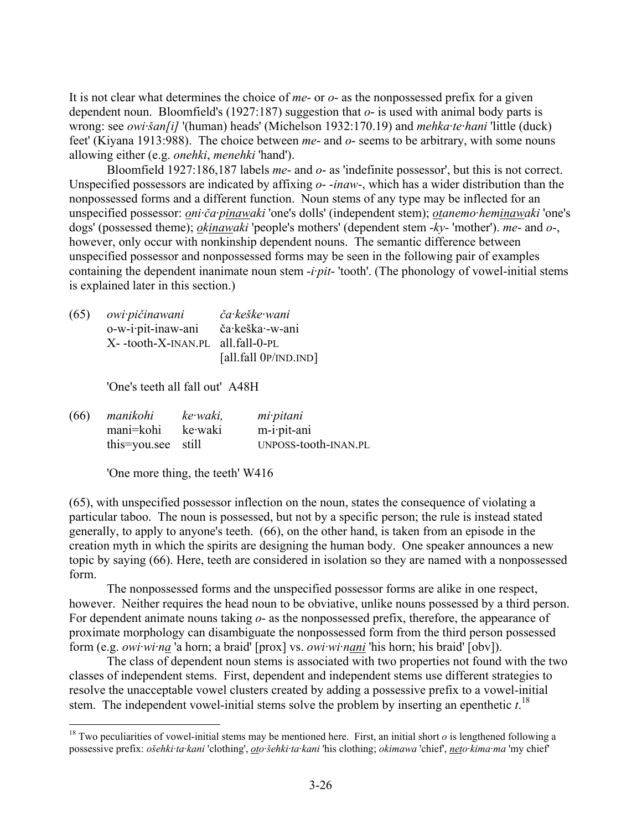It is not clear what determines the choice of *me*- or *o*- as the nonpossessed prefix for a given dependent noun. Bloomfield's (1927:187) suggestion that *o*- is used with animal body parts is wrong: see *owi·šan[i]* '(human) heads' (Michelson 1932:170.19) and *mehka·te·hani* 'little (duck) feet' (Kiyana 1913:988). The choice between *me*- and *o*- seems to be arbitrary, with some nouns allowing either (e.g. *onehki*, *menehki* 'hand').

Bloomfield 1927:186,187 labels *me*- and *o*- as 'indefinite possessor', but this is not correct. Unspecified possessors are indicated by affixing *o*- -*inaw*-, which has a wider distribution than the nonpossessed forms and a different function. Noun stems of any type may be inflected for an unspecified possessor: *oni·ča·pinawaki* 'one's dolls' (independent stem); *otanemo·heminawaki* 'one's dogs' (possessed theme); *okinawaki* 'people's mothers' (dependent stem -*ky*- 'mother'). *me*- and *o*-, however, only occur with nonkinship dependent nouns. The semantic difference between unspecified possessor and nonpossessed forms may be seen in the following pair of examples containing the dependent inanimate noun stem -*i·pit*- 'tooth'. (The phonology of vowel-initial stems is explained later in this section.)

(65) *owi·pičinawani ča·keške·wani* o-w-i·pit-inaw-ani ča·keška·-w-ani X- -tooth-X-INAN.PL all.fall-0-PL [all.fall 0P/IND.IND]

'One's teeth all fall out' A48H

(66) *manikohi ke·waki, mi·pitani* mani=kohi ke·waki m-i·pit-ani this=you.see still UNPOSS-tooth-INAN.PL

'One more thing, the teeth' W416

1

(65), with unspecified possessor inflection on the noun, states the consequence of violating a particular taboo. The noun is possessed, but not by a specific person; the rule is instead stated generally, to apply to anyone's teeth. (66), on the other hand, is taken from an episode in the creation myth in which the spirits are designing the human body. One speaker announces a new topic by saying (66). Here, teeth are considered in isolation so they are named with a nonpossessed form.

The nonpossessed forms and the unspecified possessor forms are alike in one respect, however. Neither requires the head noun to be obviative, unlike nouns possessed by a third person. For dependent animate nouns taking *o*- as the nonpossessed prefix, therefore, the appearance of proximate morphology can disambiguate the nonpossessed form from the third person possessed form (e.g. *owi·wi·na* 'a horn; a braid' [prox] vs. *owi·wi·nani* 'his horn; his braid' [obv]).

The class of dependent noun stems is associated with two properties not found with the two classes of independent stems. First, dependent and independent stems use different strategies to resolve the unacceptable vowel clusters created by adding a possessive prefix to a vowel-initial stem. The independent vowel-initial stems solve the problem by inserting an epenthetic *t*. 18

<sup>&</sup>lt;sup>18</sup> Two peculiarities of vowel-initial stems may be mentioned here. First, an initial short  $o$  is lengthened following a possessive prefix: *ošehki·ta·kani* 'clothing', *oto·šehki·ta·kani* 'his clothing; *okimawa* 'chief', *neto·kima·ma* 'my chief'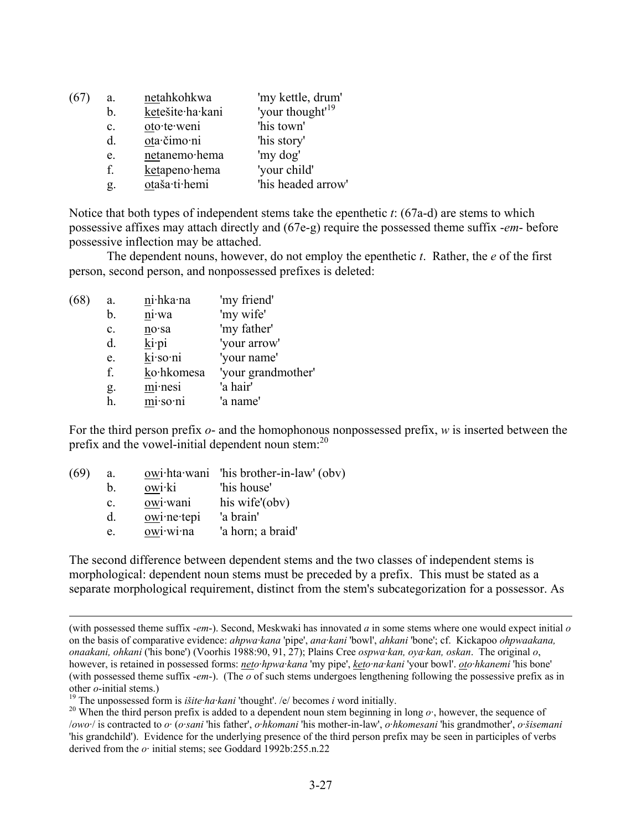| a.             | netahkohkwa      | 'my kettle, drum'            |
|----------------|------------------|------------------------------|
| b.             | ketešite·ha·kani | 'your thought' <sup>19</sup> |
| $\mathbf{c}$ . | oto·te·weni      | 'his town'                   |
| $d_{\cdot}$    | ota·čimo·ni      | 'his story'                  |
| e.             | netanemo·hema    | 'my dog'                     |
| f.             | ketapeno·hema    | 'your child'                 |
| g.             | otaša·ti·hemi    | 'his headed arrow'           |

Notice that both types of independent stems take the epenthetic *t*: (67a-d) are stems to which possessive affixes may attach directly and (67e-g) require the possessed theme suffix -*em*- before possessive inflection may be attached.

The dependent nouns, however, do not employ the epenthetic *t*. Rather, the *e* of the first person, second person, and nonpossessed prefixes is deleted:

| (68) | a.             | ni·hka·na            | 'my friend'        |
|------|----------------|----------------------|--------------------|
|      | b.             | ni·wa                | 'my wife'          |
|      | $\mathbf{c}$ . | $no$ sa              | 'my father'        |
|      | d.             | $\underline{k}$ i pi | 'your arrow'       |
|      | e.             | ki·so·ni             | 'your name'        |
|      | f.             | ko∙hkomesa           | 'your grandmother' |
|      | g.             | minesi               | 'a hair'           |
|      | h.             | mi·so·ni             | 'a name'           |
|      |                |                      |                    |

For the third person prefix *o*- and the homophonous nonpossessed prefix, *w* is inserted between the prefix and the vowel-initial dependent noun stem:<sup>20</sup>

| a.             |                         | $owi$ hta wani 'his brother-in-law' (obv) |
|----------------|-------------------------|-------------------------------------------|
| b.             | owi <sup>-</sup> ki     | 'his house'                               |
| $\mathbf{c}$ . | owi·wani                | his wife'(obv)                            |
| d.             | owi <sub>ne</sub> ·tepi | 'a brain'                                 |
| e.             | owi·wi·na               | 'a horn; a braid'                         |
|                |                         |                                           |

The second difference between dependent stems and the two classes of independent stems is morphological: dependent noun stems must be preceded by a prefix. This must be stated as a separate morphological requirement, distinct from the stem's subcategorization for a possessor. As

 <sup>(</sup>with possessed theme suffix -*em*-). Second, Meskwaki has innovated *a* in some stems where one would expect initial *<sup>o</sup>* on the basis of comparative evidence: *ahpwa·kana* 'pipe', *ana·kani* 'bowl', *ahkani* 'bone'; cf. Kickapoo *ohpwaakana, onaakani, ohkani* ('his bone') (Voorhis 1988:90, 91, 27); Plains Cree *ospwa·kan, oya·kan, oskan*. The original *o*, however, is retained in possessed forms: *neto·hpwa·kana* 'my pipe', *keto·na·kani* 'your bowl'. *oto·hkanemi* 'his bone' (with possessed theme suffix -*em*-). (The *o* of such stems undergoes lengthening following the possessive prefix as in other *o*-initial stems.)<br><sup>19</sup> The unpossessed form is *išite ha kani* 'thought'. /e/ becomes *i* word initially.<br><sup>20</sup> When the third person prefix is added to a dependent noun stem beginning in long *o* ·, however, the s

<sup>/</sup>*owo·*/ is contracted to *o·* (*o·sani* 'his father', *o·hkomani* 'his mother-in-law', *o·hkomesani* 'his grandmother', *o·šisemani* 'his grandchild'). Evidence for the underlying presence of the third person prefix may be seen in participles of verbs derived from the *o·* initial stems; see Goddard 1992b:255.n.22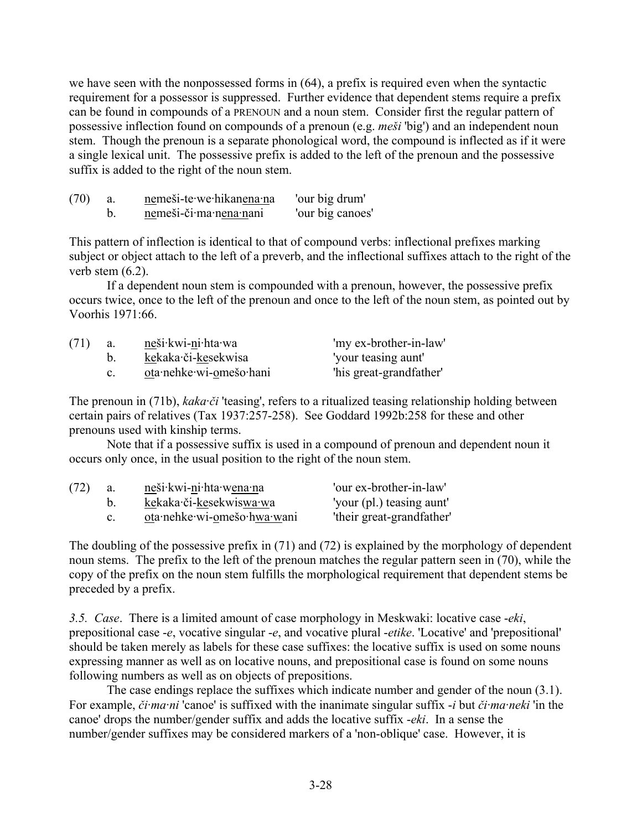we have seen with the nonpossessed forms in (64), a prefix is required even when the syntactic requirement for a possessor is suppressed. Further evidence that dependent stems require a prefix can be found in compounds of a PRENOUN and a noun stem. Consider first the regular pattern of possessive inflection found on compounds of a prenoun (e.g. *meši* 'big') and an independent noun stem. Though the prenoun is a separate phonological word, the compound is inflected as if it were a single lexical unit. The possessive prefix is added to the left of the prenoun and the possessive suffix is added to the right of the noun stem.

| (70) | nemeši-te·we·hikanena·na | 'our big drum'   |
|------|--------------------------|------------------|
|      | nemeši-či·ma·nena·nani   | 'our big canoes' |

This pattern of inflection is identical to that of compound verbs: inflectional prefixes marking subject or object attach to the left of a preverb, and the inflectional suffixes attach to the right of the verb stem  $(6.2)$ .

If a dependent noun stem is compounded with a prenoun, however, the possessive prefix occurs twice, once to the left of the prenoun and once to the left of the noun stem, as pointed out by Voorhis 1971:66.

| (71) | a. | neši·kwi-ni·hta·wa      | 'my ex-brother-in-law'  |
|------|----|-------------------------|-------------------------|
|      |    | kekaka či-kesekwisa     | 'your teasing aunt'     |
|      |    | ota·nehke·wi-omešo·hani | 'his great-grandfather' |

The prenoun in (71b), *kaka·či* 'teasing', refers to a ritualized teasing relationship holding between certain pairs of relatives (Tax 1937:257-258). See Goddard 1992b:258 for these and other prenouns used with kinship terms.

Note that if a possessive suffix is used in a compound of prenoun and dependent noun it occurs only once, in the usual position to the right of the noun stem.

| (72) | a. | neši kwi-ni hta wena na     | 'our ex-brother-in-law'   |
|------|----|-----------------------------|---------------------------|
|      |    | kekaka či-kesekwiswa wa     | 'your (pl.) teasing aunt' |
|      |    | ota·nehke·wi-omešo·hwa·wani | 'their great-grandfather' |

The doubling of the possessive prefix in (71) and (72) is explained by the morphology of dependent noun stems. The prefix to the left of the prenoun matches the regular pattern seen in (70), while the copy of the prefix on the noun stem fulfills the morphological requirement that dependent stems be preceded by a prefix.

*3.5. Case*. There is a limited amount of case morphology in Meskwaki: locative case -*eki*, prepositional case -*e*, vocative singular -*e*, and vocative plural -*etike*. 'Locative' and 'prepositional' should be taken merely as labels for these case suffixes: the locative suffix is used on some nouns expressing manner as well as on locative nouns, and prepositional case is found on some nouns following numbers as well as on objects of prepositions.

The case endings replace the suffixes which indicate number and gender of the noun (3.1). For example, *či·ma·ni* 'canoe' is suffixed with the inanimate singular suffix -*i* but *či·ma·neki* 'in the canoe' drops the number/gender suffix and adds the locative suffix -*eki*. In a sense the number/gender suffixes may be considered markers of a 'non-oblique' case. However, it is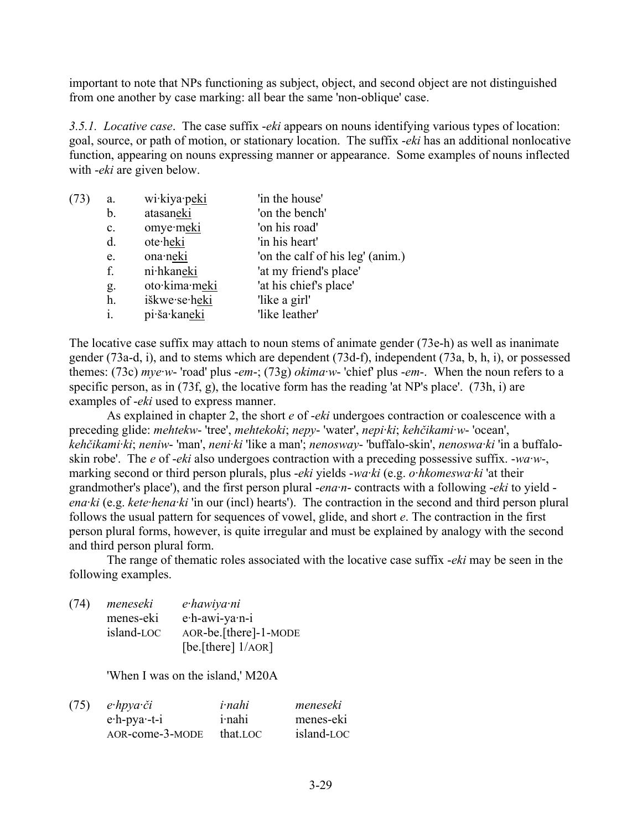important to note that NPs functioning as subject, object, and second object are not distinguished from one another by case marking: all bear the same 'non-oblique' case.

*3.5.1. Locative case*. The case suffix -*eki* appears on nouns identifying various types of location: goal, source, or path of motion, or stationary location. The suffix -*eki* has an additional nonlocative function, appearing on nouns expressing manner or appearance. Some examples of nouns inflected with -*eki* are given below.

| (73) | a.             | wi·kiya·peki  | 'in the house'                   |
|------|----------------|---------------|----------------------------------|
|      | b.             | atasaneki     | 'on the bench'                   |
|      | $\mathbf{c}$ . | omye·meki     | 'on his road'                    |
|      | d.             | ote∙heki      | 'in his heart'                   |
|      | e.             | ona·neki      | 'on the calf of his leg' (anim.) |
|      | f.             | ni·hkaneki    | 'at my friend's place'           |
|      | g.             | oto·kima·meki | 'at his chief's place'           |
|      | h.             | iškwe·se·heki | 'like a girl'                    |
|      | i.             | pi·ša·kaneki  | 'like leather'                   |
|      |                |               |                                  |

The locative case suffix may attach to noun stems of animate gender (73e-h) as well as inanimate gender (73a-d, i), and to stems which are dependent (73d-f), independent (73a, b, h, i), or possessed themes: (73c) *mye·w*- 'road' plus -*em*-; (73g) *okima·w*- 'chief' plus -*em*-. When the noun refers to a specific person, as in (73f, g), the locative form has the reading 'at NP's place'. (73h, i) are examples of -*eki* used to express manner.

As explained in chapter 2, the short *e* of -*eki* undergoes contraction or coalescence with a preceding glide: *mehtekw*- 'tree', *mehtekoki*; *nepy*- 'water', *nepi·ki*; *kehčikami·w*- 'ocean', *kehčikami·ki*; *neniw*- 'man', *neni·ki* 'like a man'; *nenosway*- 'buffalo-skin', *nenoswa·ki* 'in a buffaloskin robe'. The *e* of -*eki* also undergoes contraction with a preceding possessive suffix. -*wa·w*-, marking second or third person plurals, plus -*eki* yields -*wa·ki* (e.g. *o·hkomeswa·ki* 'at their grandmother's place'), and the first person plural -*ena·n*- contracts with a following -*eki* to yield *ena·ki* (e.g. *kete·hena·ki* 'in our (incl) hearts'). The contraction in the second and third person plural follows the usual pattern for sequences of vowel, glide, and short *e*. The contraction in the first person plural forms, however, is quite irregular and must be explained by analogy with the second and third person plural form.

The range of thematic roles associated with the locative case suffix -*eki* may be seen in the following examples.

(74) *meneseki e·hawiya·ni* menes-eki e·h-awi-ya·n-i island-LOC AOR-be.[there]-1-MODE [be.[there]  $1/AOR$ ]

'When I was on the island,' M20A

| (75) | $e$ ·hpya·či       | <i>i</i> -nahi | meneseki   |
|------|--------------------|----------------|------------|
|      | $e$ -h-pya $-1$ -i | <i>i</i> -nahi | menes-eki  |
|      | AOR-come-3-MODE    | that.LOC       | island-LOC |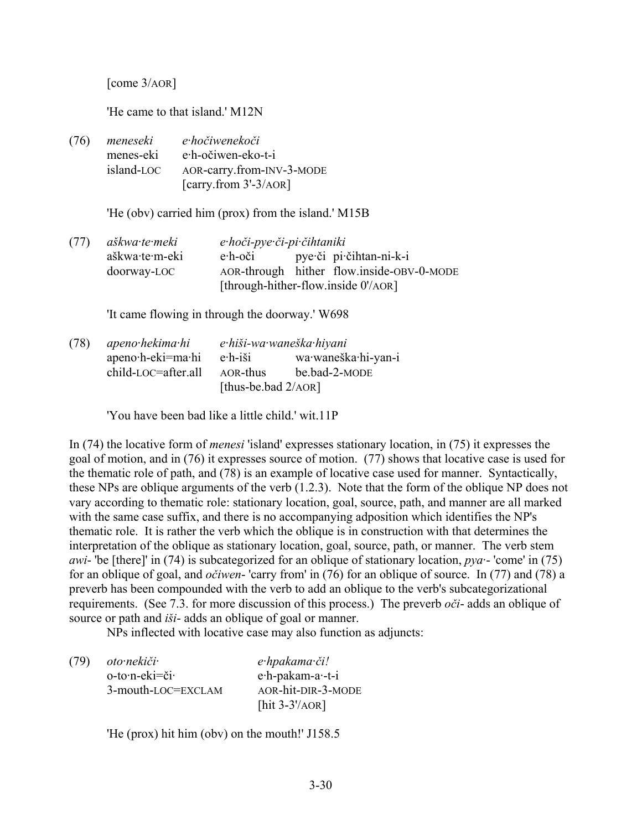[come 3/AOR]

'He came to that island.' M12N

(76) *meneseki e·hočiwenekoči* menes-eki e·h-očiwen-eko-t-i island-LOC AOR-carry.from-INV-3-MODE [carry.from 3'-3/AOR]

'He (obv) carried him (prox) from the island.' M15B

(77) *aškwa·te·meki e·hoči-pye·či-pi·čihtaniki* aškwa·te·m-eki e·h-oči pye·či pi·čihtan-ni-k-i doorway-LOC AOR-through hither flow.inside-OBV-0-MODE [through-hither-flow.inside 0'/AOR]

'It came flowing in through the doorway.' W698

(78) *apeno·hekima·hi e·hiši-wa·waneška·hiyani* apeno·h-eki=ma·hi e·h-iši wa·waneška·hi-yan-i child-LOC=after.all AOR-thus be.bad-2-MODE [thus-be.bad 2/AOR]

'You have been bad like a little child.' wit.11P

In (74) the locative form of *menesi* 'island' expresses stationary location, in (75) it expresses the goal of motion, and in (76) it expresses source of motion. (77) shows that locative case is used for the thematic role of path, and (78) is an example of locative case used for manner. Syntactically, these NPs are oblique arguments of the verb (1.2.3). Note that the form of the oblique NP does not vary according to thematic role: stationary location, goal, source, path, and manner are all marked with the same case suffix, and there is no accompanying adposition which identifies the NP's thematic role. It is rather the verb which the oblique is in construction with that determines the interpretation of the oblique as stationary location, goal, source, path, or manner. The verb stem *awi*- 'be [there]' in (74) is subcategorized for an oblique of stationary location, *pya·*- 'come' in (75) for an oblique of goal, and *očiwen*- 'carry from' in (76) for an oblique of source. In (77) and (78) a preverb has been compounded with the verb to add an oblique to the verb's subcategorizational requirements. (See 7.3. for more discussion of this process.) The preverb *oči*- adds an oblique of source or path and *iši*- adds an oblique of goal or manner.

NPs inflected with locative case may also function as adjuncts:

(79) *oto·nekiči· e·hpakama·či!* o-to·n-eki=či· e·h-pakam-a·-t-i 3-mouth-LOC=EXCLAM AOR-hit-DIR-3-MODE [hit 3-3'/AOR]

'He (prox) hit him (obv) on the mouth!' J158.5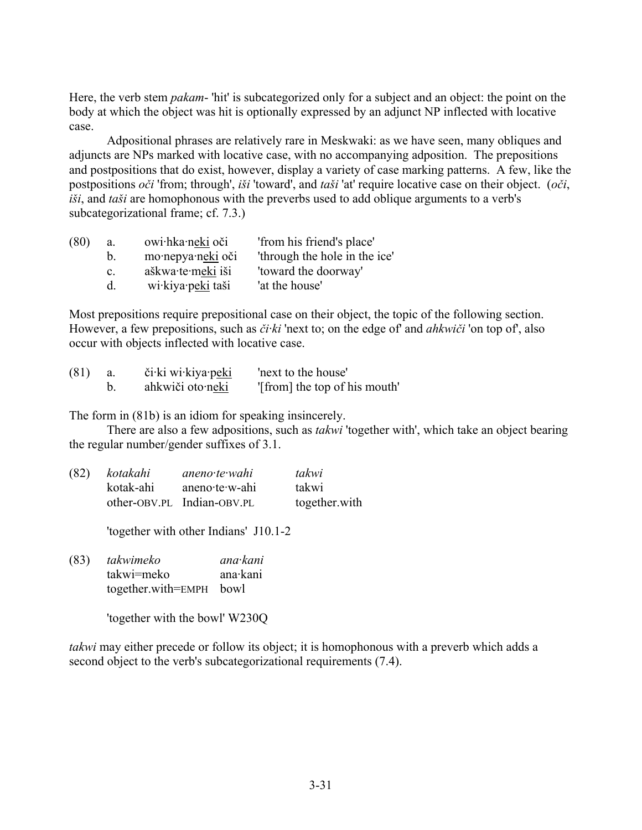Here, the verb stem *pakam*- 'hit' is subcategorized only for a subject and an object: the point on the body at which the object was hit is optionally expressed by an adjunct NP inflected with locative case.

Adpositional phrases are relatively rare in Meskwaki: as we have seen, many obliques and adjuncts are NPs marked with locative case, with no accompanying adposition. The prepositions and postpositions that do exist, however, display a variety of case marking patterns. A few, like the postpositions *oči* 'from; through', *iši* 'toward', and *taši* 'at' require locative case on their object. (*oči*, *iši*, and *taši* are homophonous with the preverbs used to add oblique arguments to a verb's subcategorizational frame; cf. 7.3.)

| (80) | a.             | owi hka neki oči  | 'from his friend's place'     |
|------|----------------|-------------------|-------------------------------|
|      | b.             | mo·nepya·neki oči | 'through the hole in the ice' |
|      | $\mathbf{c}$ . | aškwa·te·meki iši | 'toward the doorway'          |
|      | <sub>d</sub>   | wi kiya peki taši | 'at the house'                |

Most prepositions require prepositional case on their object, the topic of the following section. However, a few prepositions, such as *či·ki* 'next to; on the edge of' and *ahkwiči* 'on top of', also occur with objects inflected with locative case.

| (81) | či ki wi kiya peki | 'next to the house'           |
|------|--------------------|-------------------------------|
|      | ahkwiči oto neki   | "[from] the top of his mouth" |

The form in (81b) is an idiom for speaking insincerely.

There are also a few adpositions, such as *takwi* 'together with', which take an object bearing the regular number/gender suffixes of 3.1.

| (82) | kotakahi  | aneno te wahi              | takwi         |
|------|-----------|----------------------------|---------------|
|      | kotak-ahi | aneno te w-ahi             | takwi         |
|      |           | other-OBV.PL Indian-OBV.PL | together.with |

'together with other Indians' J10.1-2

(83) *takwimeko ana·kani*  takwi=meko ana·kani together.with=EMPH bowl

'together with the bowl' W230Q

*takwi* may either precede or follow its object; it is homophonous with a preverb which adds a second object to the verb's subcategorizational requirements (7.4).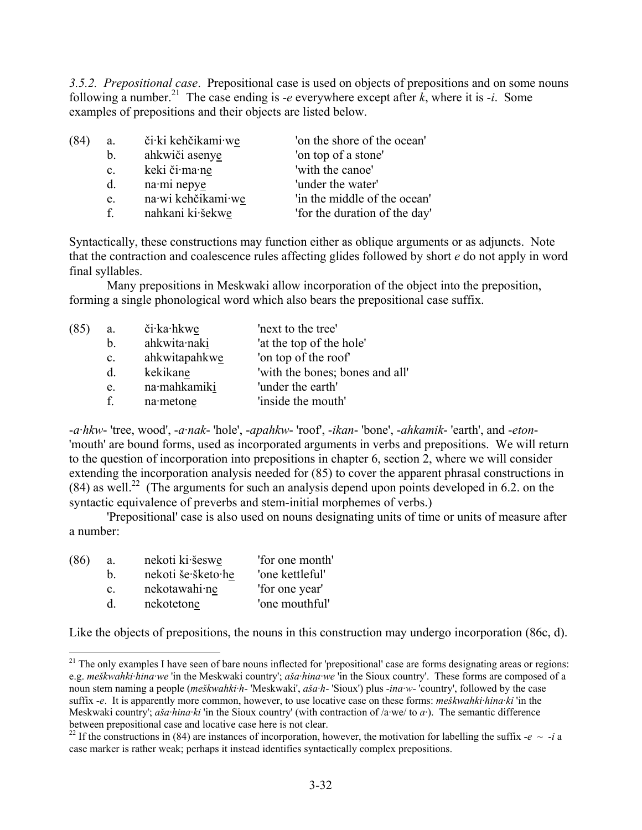*3.5.2. Prepositional case*. Prepositional case is used on objects of prepositions and on some nouns following a number.<sup>21</sup> The case ending is *-e* everywhere except after  $k$ , where it is *-i*. Some examples of prepositions and their objects are listed below.

| (84) | a.             | či ki kehčikami we | 'on the shore of the ocean'   |
|------|----------------|--------------------|-------------------------------|
|      | b.             | ahkwiči asenye     | 'on top of a stone'           |
|      | $\mathbf{c}$ . | keki či·ma·ne      | 'with the canoe'              |
|      | d.             | na·mi nepye        | 'under the water'             |
|      | e.             | na wi kehčikami we | 'in the middle of the ocean'  |
|      | $f_{-}$        | nahkani ki·šekwe   | 'for the duration of the day' |
|      |                |                    |                               |

Syntactically, these constructions may function either as oblique arguments or as adjuncts. Note that the contraction and coalescence rules affecting glides followed by short *e* do not apply in word final syllables.

Many prepositions in Meskwaki allow incorporation of the object into the preposition, forming a single phonological word which also bears the prepositional case suffix.

| (85) | a.             | či·ka·hkwe    | 'next to the tree'              |
|------|----------------|---------------|---------------------------------|
|      | b.             | ahkwita·naki  | 'at the top of the hole'        |
|      | $\mathbf{c}$ . | ahkwitapahkwe | 'on top of the roof'            |
|      | $d_{-}$        | kekikane      | 'with the bones; bones and all' |
|      | e.             | na·mahkamiki  | 'under the earth'               |
|      | f.             | na metone     | 'inside the mouth'              |

-*a·hkw*- 'tree, wood', -*a·nak*- 'hole', -*apahkw*- 'roof', -*ikan*- 'bone', -*ahkamik*- 'earth', and -*eton*- 'mouth' are bound forms, used as incorporated arguments in verbs and prepositions. We will return to the question of incorporation into prepositions in chapter 6, section 2, where we will consider extending the incorporation analysis needed for (85) to cover the apparent phrasal constructions in  $(84)$  as well.<sup>22</sup> (The arguments for such an analysis depend upon points developed in 6.2. on the syntactic equivalence of preverbs and stem-initial morphemes of verbs.)

'Prepositional' case is also used on nouns designating units of time or units of measure after a number:

| (86) | a.             | nekoti ki šeswe    | 'for one month' |
|------|----------------|--------------------|-----------------|
|      | h.             | nekoti še šketo he | 'one kettleful' |
|      | $\mathbf{c}$ . | nekotawahi ne      | 'for one year'  |
|      | <sub>d</sub>   | nekotetone         | 'one mouthful'  |

1

Like the objects of prepositions, the nouns in this construction may undergo incorporation (86c, d).

 $21$  The only examples I have seen of bare nouns inflected for 'prepositional' case are forms designating areas or regions: e.g. *meškwahki·hina·we* 'in the Meskwaki country'; *aša·hina·we* 'in the Sioux country'. These forms are composed of a noun stem naming a people (*meškwahki·h*- 'Meskwaki', *aša·h*- 'Sioux') plus -*ina·w*- 'country', followed by the case suffix -*e*. It is apparently more common, however, to use locative case on these forms: *meškwahki·hina·ki* 'in the Meskwaki country'; *aša·hina·ki* 'in the Sioux country' (with contraction of /a·we/ to *a·*). The semantic difference between prepositional case and locative case here is not clear.

<sup>&</sup>lt;sup>22</sup> If the constructions in (84) are instances of incorporation, however, the motivation for labelling the suffix  $-e \sim -i a$ case marker is rather weak; perhaps it instead identifies syntactically complex prepositions.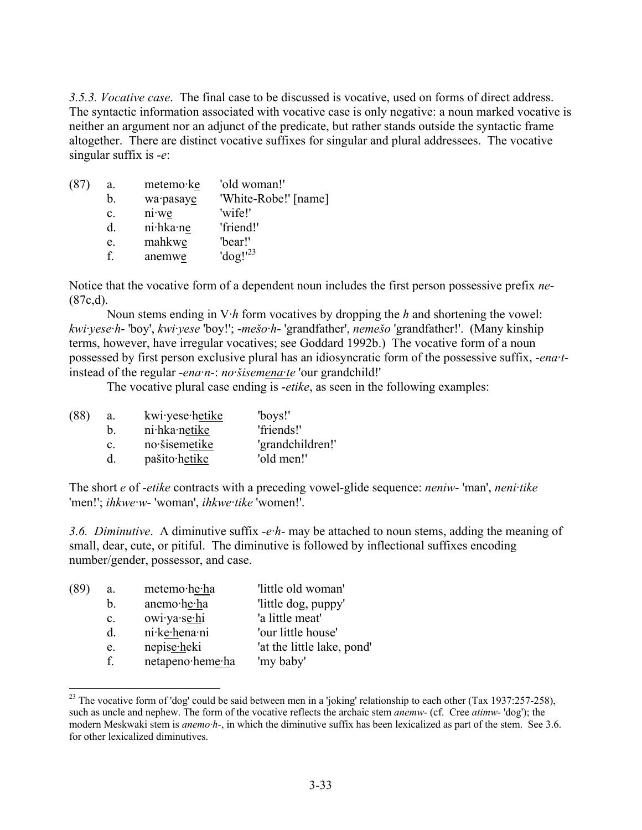*3.5.3. Vocative case*. The final case to be discussed is vocative, used on forms of direct address. The syntactic information associated with vocative case is only negative: a noun marked vocative is neither an argument nor an adjunct of the predicate, but rather stands outside the syntactic frame altogether. There are distinct vocative suffixes for singular and plural addressees. The vocative singular suffix is -*e*:

| (87) | a.             | metemo·ke    | 'old woman!'         |
|------|----------------|--------------|----------------------|
|      | b.             | wa·pasaye    | 'White-Robe!' [name] |
|      | $\mathbf{c}$ . | $ni$ we      | 'wife!'              |
|      | d.             | $ni$ -hka·ne | 'friend!'            |
|      | e.             | mahkwe       | 'bear!'              |
|      | f              | anemwe       | $'dog!^{23}$         |
|      |                |              |                      |

Notice that the vocative form of a dependent noun includes the first person possessive prefix *ne*-  $(87c,d).$ 

Noun stems ending in  $V \cdot h$  form vocatives by dropping the *h* and shortening the vowel: *kwi·yese·h*- 'boy', *kwi·yese* 'boy!'; -*mešo·h*- 'grandfather', *nemešo* 'grandfather!'. (Many kinship terms, however, have irregular vocatives; see Goddard 1992b.) The vocative form of a noun possessed by first person exclusive plural has an idiosyncratic form of the possessive suffix, -*ena·t*instead of the regular -*ena·n*-: *no·šisemena·te* 'our grandchild!'

The vocative plural case ending is -*etike*, as seen in the following examples:

| (88) | a. | kwi·yese·hetike | 'boys!'          |
|------|----|-----------------|------------------|
|      | b. | ni·hka·netike   | 'friends!'       |
|      | C. | no šisemetike   | 'grandchildren!' |
|      | d. | pašito hetike   | 'old men!'       |

The short *e* of -*etike* contracts with a preceding vowel-glide sequence: *neniw*- 'man', *neni·tike* 'men!'; *ihkwe·w*- 'woman', *ihkwe·tike* 'women!'.

*3.6. Diminutive*. A diminutive suffix -*e·h*- may be attached to noun stems, adding the meaning of small, dear, cute, or pitiful. The diminutive is followed by inflectional suffixes encoding number/gender, possessor, and case.

| (89) | a.             | metemo·he·ha     | 'little old woman'         |
|------|----------------|------------------|----------------------------|
|      | b.             | anemo·he·ha      | 'little dog, puppy'        |
|      | $\mathbf{c}$ . | owi·ya·se·hi     | 'a little meat'            |
|      | d.             | ni·ke·hena·ni    | 'our little house'         |
|      | e.             | nepise-heki      | 'at the little lake, pond' |
|      | f              | netapeno·heme·ha | 'my baby'                  |
|      |                |                  |                            |

<sup>&</sup>lt;sup>23</sup> The vocative form of 'dog' could be said between men in a 'joking' relationship to each other (Tax 1937:257-258), such as uncle and nephew. The form of the vocative reflects the archaic stem *anemw*- (cf. Cree *atimw*- 'dog'); the modern Meskwaki stem is *anemo·h*-, in which the diminutive suffix has been lexicalized as part of the stem. See 3.6. for other lexicalized diminutives.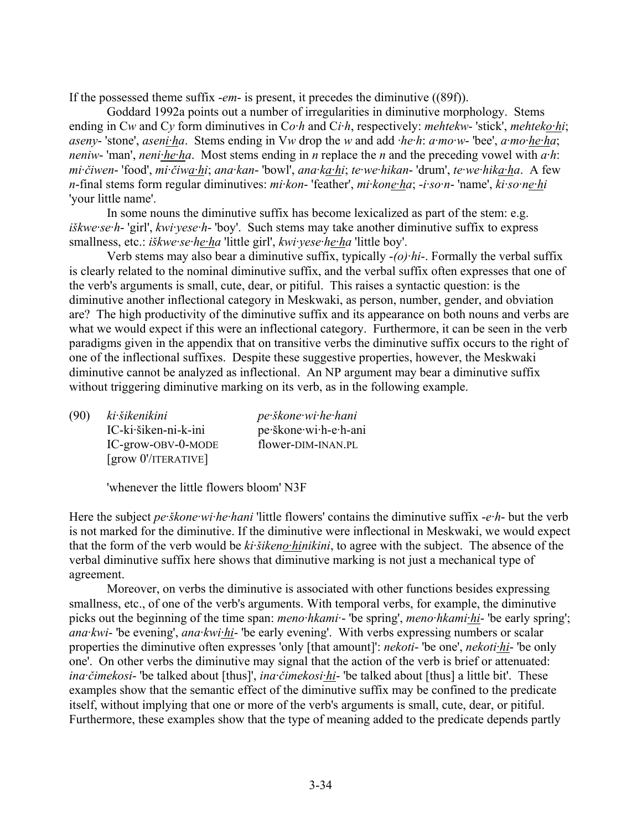If the possessed theme suffix -*em*- is present, it precedes the diminutive ((89f)).

Goddard 1992a points out a number of irregularities in diminutive morphology. Stems ending in C*w* and C*y* form diminutives in C*o·h* and C*i·h*, respectively: *mehtekw*- 'stick', *mehteko·hi*; *aseny*- 'stone', *aseni·ha*. Stems ending in V*w* drop the *w* and add *·he·h*: *a·mo·w*- 'bee', *a·mo·he·ha*; *neniw*- 'man', *neni·he·ha*. Most stems ending in *n* replace the *n* and the preceding vowel with *a·h*: *mi·čiwen*- 'food', *mi·čiwa·hi*; *ana·kan*- 'bowl', *ana·ka·hi*; *te·we·hikan*- 'drum', *te·we·hika·ha*. A few *n*-final stems form regular diminutives: *mi·kon*- 'feather', *mi·kone·ha*; -*i·so·n*- 'name', *ki·so·ne·hi* 'your little name'.

In some nouns the diminutive suffix has become lexicalized as part of the stem: e.g. *iškwe·se·h*- 'girl', *kwi·yese·h*- 'boy'. Such stems may take another diminutive suffix to express smallness, etc.: *iškwe·se·he·ha* 'little girl', *kwi·yese·he·ha* 'little boy'.

Verb stems may also bear a diminutive suffix, typically -*(o)·hi*-. Formally the verbal suffix is clearly related to the nominal diminutive suffix, and the verbal suffix often expresses that one of the verb's arguments is small, cute, dear, or pitiful. This raises a syntactic question: is the diminutive another inflectional category in Meskwaki, as person, number, gender, and obviation are? The high productivity of the diminutive suffix and its appearance on both nouns and verbs are what we would expect if this were an inflectional category. Furthermore, it can be seen in the verb paradigms given in the appendix that on transitive verbs the diminutive suffix occurs to the right of one of the inflectional suffixes. Despite these suggestive properties, however, the Meskwaki diminutive cannot be analyzed as inflectional. An NP argument may bear a diminutive suffix without triggering diminutive marking on its verb, as in the following example.

| (90) | ki šikenikini                                        | pe škone wi he hani   |
|------|------------------------------------------------------|-----------------------|
|      | IC-ki·šiken-ni-k-ini                                 | pe škone wi h-e h-ani |
|      | IC-grow-OBV-0-MODE                                   | flower-DIM-INAN.PL    |
|      | $\left[\right.$ grow $0'/$ iterative $\left.\right]$ |                       |

'whenever the little flowers bloom' N3F

Here the subject *pe·škone·wi·he·hani* 'little flowers' contains the diminutive suffix -*e·h*- but the verb is not marked for the diminutive. If the diminutive were inflectional in Meskwaki, we would expect that the form of the verb would be *ki·šikeno·hinikini*, to agree with the subject. The absence of the verbal diminutive suffix here shows that diminutive marking is not just a mechanical type of agreement.

Moreover, on verbs the diminutive is associated with other functions besides expressing smallness, etc., of one of the verb's arguments. With temporal verbs, for example, the diminutive picks out the beginning of the time span: *meno·hkami*·- 'be spring', *meno·hkami·hi*- 'be early spring'; *ana·kwi*- 'be evening', *ana·kwi·hi*- 'be early evening'. With verbs expressing numbers or scalar properties the diminutive often expresses 'only [that amount]': *nekoti*- 'be one', *nekoti·hi*- 'be only one'. On other verbs the diminutive may signal that the action of the verb is brief or attenuated: *ina·čimekosi*- 'be talked about [thus]', *ina·čimekosi·hi*- 'be talked about [thus] a little bit'. These examples show that the semantic effect of the diminutive suffix may be confined to the predicate itself, without implying that one or more of the verb's arguments is small, cute, dear, or pitiful. Furthermore, these examples show that the type of meaning added to the predicate depends partly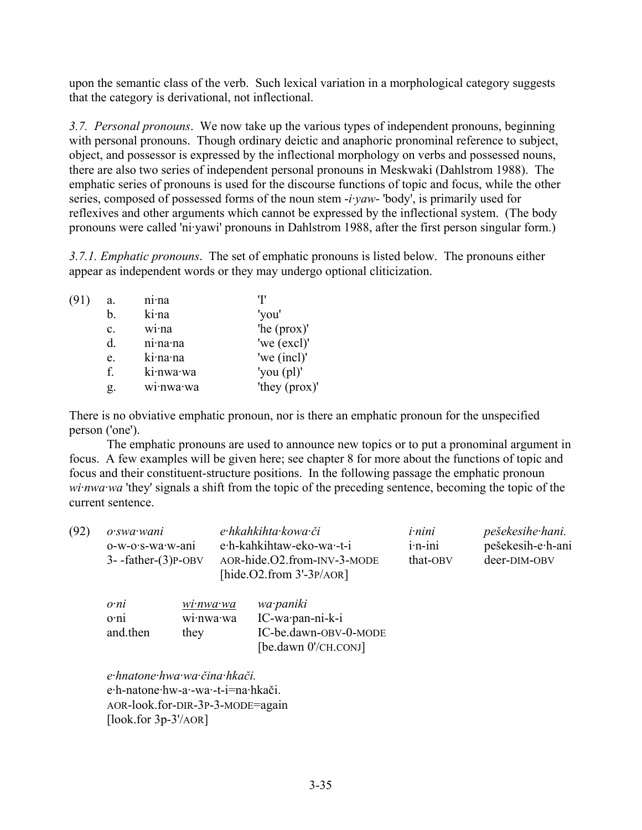upon the semantic class of the verb. Such lexical variation in a morphological category suggests that the category is derivational, not inflectional.

*3.7. Personal pronouns*. We now take up the various types of independent pronouns, beginning with personal pronouns. Though ordinary deictic and anaphoric pronominal reference to subject, object, and possessor is expressed by the inflectional morphology on verbs and possessed nouns, there are also two series of independent personal pronouns in Meskwaki (Dahlstrom 1988). The emphatic series of pronouns is used for the discourse functions of topic and focus, while the other series, composed of possessed forms of the noun stem -*i·yaw*- 'body', is primarily used for reflexives and other arguments which cannot be expressed by the inflectional system. (The body pronouns were called 'ni·yawi' pronouns in Dahlstrom 1988, after the first person singular form.)

*3.7.1. Emphatic pronouns*. The set of emphatic pronouns is listed below. The pronouns either appear as independent words or they may undergo optional cliticization.

| (91) | a.             | ni <sub>na</sub> | T                               |
|------|----------------|------------------|---------------------------------|
|      | b.             | ki·na            | 'you'                           |
|      | $\mathbf{c}$ . | wina             | 'he (prox)'                     |
|      | d.             | ni·na·na         | 'we (excl)'                     |
|      | e.             | ki·na·na         | 'we (incl)'                     |
|      | f.             | ki·nwa·wa        | 'you $\left(\text{pl}\right)$ ' |
|      | Զ.             | wi·nwa·wa        | 'they (prox)'                   |

There is no obviative emphatic pronoun, nor is there an emphatic pronoun for the unspecified person ('one').

The emphatic pronouns are used to announce new topics or to put a pronominal argument in focus. A few examples will be given here; see chapter 8 for more about the functions of topic and focus and their constituent-structure positions. In the following passage the emphatic pronoun *wi·nwa·wa* 'they' signals a shift from the topic of the preceding sentence, becoming the topic of the current sentence.

| (92) | o·swa·wani<br>o-w-o·s-wa·w-ani<br>$3 - father-(3)P-OBV$ |                                   | e hkahkihta kowa či<br>e·h-kahkihtaw-eko-wa·-t-i<br>AOR-hide.O2.from-INV-3-MODE<br>[hide. $O2$ .from $3'-3P/AOR$ ] |                                                                                   | <i>i</i> -nini<br>$i$ -n-ini<br>that-OBV | pešekesihe hani.<br>pešekesih-e·h-ani<br>deer-DIM-OBV |
|------|---------------------------------------------------------|-----------------------------------|--------------------------------------------------------------------------------------------------------------------|-----------------------------------------------------------------------------------|------------------------------------------|-------------------------------------------------------|
|      | o <sub>ni</sub><br>o·ni<br>and then                     | $wi$ ·nwa·wa<br>wi·nwa·wa<br>they |                                                                                                                    | wa paniki<br>IC-wa·pan-ni-k-i<br>IC-be.dawn-OBV-0-MODE<br>[be.dawn $0$ '/CH.CONJ] |                                          |                                                       |

*e·hnatone·hwa·wa·čina·hkači.*  e·h-natone·hw-a·-wa·-t-i=na·hkači. AOR-look.for-DIR-3P-3-MODE=again [look.for 3p-3'/AOR]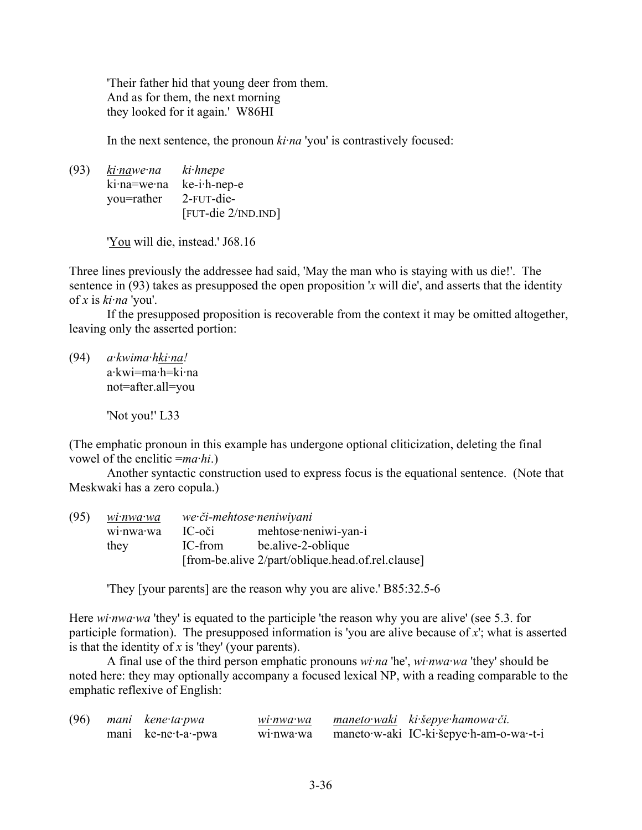'Their father hid that young deer from them. And as for them, the next morning they looked for it again.' W86HI

In the next sentence, the pronoun *ki·na* 'you' is contrastively focused:

(93) *ki·nawe·na ki·hnepe* ki·na=we·na ke-i·h-nep-e you=rather 2-FUT-die- [FUT-die 2/IND.IND]

'You will die, instead.' J68.16

Three lines previously the addressee had said, 'May the man who is staying with us die!'. The sentence in (93) takes as presupposed the open proposition '*x* will die', and asserts that the identity of *x* is *ki·na* 'you'.

If the presupposed proposition is recoverable from the context it may be omitted altogether, leaving only the asserted portion:

(94) *a·kwima·hki·na!* a·kwi=ma·h=ki·na not=after.all=you

'Not you!' L33

(The emphatic pronoun in this example has undergone optional cliticization, deleting the final vowel of the enclitic =*ma·hi*.)

Another syntactic construction used to express focus is the equational sentence. (Note that Meskwaki has a zero copula.)

| (95) | wi•nwa•wa | we či-mehtose neniwiyani |                                                   |  |
|------|-----------|--------------------------|---------------------------------------------------|--|
|      | wi·nwa·wa | IC-oči                   | mehtose·neniwi-yan-i                              |  |
|      | they      | IC-from                  | be alive-2-oblique                                |  |
|      |           |                          | [from-be.alive 2/part/oblique.head.of.rel.clause] |  |

'They [your parents] are the reason why you are alive.' B85:32.5-6

Here *wi* nwa wa 'they' is equated to the participle 'the reason why you are alive' (see 5.3. for participle formation). The presupposed information is 'you are alive because of *x*'; what is asserted is that the identity of *x* is 'they' (your parents).

A final use of the third person emphatic pronouns *wi·na* 'he', *wi·nwa·wa* 'they' should be noted here: they may optionally accompany a focused lexical NP, with a reading comparable to the emphatic reflexive of English:

| (96) | mani kene ta pwa    | wi·nwa·wa            | maneto waki ki šepye hamowa či.         |
|------|---------------------|----------------------|-----------------------------------------|
|      | mani ke-ne-t-a--pwa | wi <sub>nwa</sub> wa | maneto w-aki IC-ki šepye h-am-o-wa -t-i |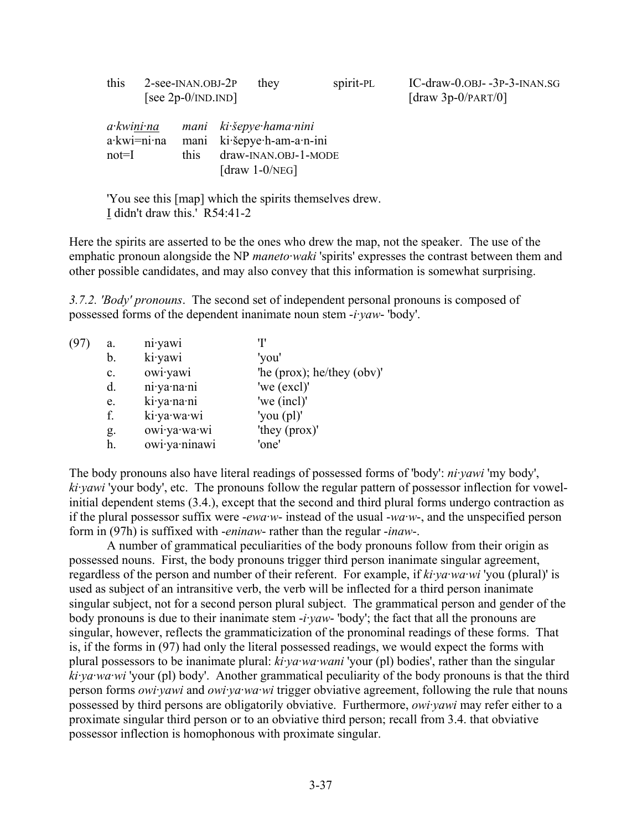| this                 |             | 2-see-INAN.OBJ-2P<br>[see $2p-0/IND$ . IND] | they                                                                                            | spirit-PL | IC-draw-0.0BJ--3P-3-INAN.SG<br>[draw $3p-0$ /PART/0] |
|----------------------|-------------|---------------------------------------------|-------------------------------------------------------------------------------------------------|-----------|------------------------------------------------------|
| a kwini na<br>$not=$ | a·kwi=ni·na | mani<br>mani<br>this                        | ki šepye hama nini<br>ki šepye h-am-a n-ini<br>draw-INAN.OBJ-1-MODE<br>[draw $1-0/\text{NEG}$ ] |           |                                                      |

Here the spirits are asserted to be the ones who drew the map, not the speaker. The use of the emphatic pronoun alongside the NP *maneto·waki* 'spirits' expresses the contrast between them and other possible candidates, and may also convey that this information is somewhat surprising.

*3.7.2. 'Body' pronouns*. The second set of independent personal pronouns is composed of possessed forms of the dependent inanimate noun stem -*i·yaw*- 'body'.

| (97 | a.             | ni yawi       |                                    |
|-----|----------------|---------------|------------------------------------|
|     | b.             | ki·yawi       | 'you'                              |
|     | $\mathbf{c}$ . | owiyawi       | 'he ( $prox$ ); he/they ( $obv$ )' |
|     | d.             | ni ya na ni   | 'we (excl)'                        |
|     | e.             | ki ya na ni   | 'we (incl)'                        |
|     | f.             | ki·ya·wa·wi   | 'you $\left(\text{pl}\right)$ '    |
|     | g.             | owi·ya·wa·wi  | 'they (prox)'                      |
|     | h.             | owi·ya·ninawi | 'one'                              |
|     |                |               |                                    |

The body pronouns also have literal readings of possessed forms of 'body': *ni·yawi* 'my body', *ki·yawi* 'your body', etc. The pronouns follow the regular pattern of possessor inflection for vowelinitial dependent stems (3.4.), except that the second and third plural forms undergo contraction as if the plural possessor suffix were -*ewa·w*- instead of the usual -*wa·w*-, and the unspecified person form in (97h) is suffixed with -*eninaw*- rather than the regular -*inaw*-.

A number of grammatical peculiarities of the body pronouns follow from their origin as possessed nouns. First, the body pronouns trigger third person inanimate singular agreement, regardless of the person and number of their referent. For example, if *ki·ya·wa·wi* 'you (plural)' is used as subject of an intransitive verb, the verb will be inflected for a third person inanimate singular subject, not for a second person plural subject. The grammatical person and gender of the body pronouns is due to their inanimate stem -*i·yaw*- 'body'; the fact that all the pronouns are singular, however, reflects the grammaticization of the pronominal readings of these forms. That is, if the forms in (97) had only the literal possessed readings, we would expect the forms with plural possessors to be inanimate plural: *ki·ya·wa·wani* 'your (pl) bodies', rather than the singular *ki·ya·wa·wi* 'your (pl) body'. Another grammatical peculiarity of the body pronouns is that the third person forms *owi·yawi* and *owi·ya·wa·wi* trigger obviative agreement, following the rule that nouns possessed by third persons are obligatorily obviative. Furthermore, *owi·yawi* may refer either to a proximate singular third person or to an obviative third person; recall from 3.4. that obviative possessor inflection is homophonous with proximate singular.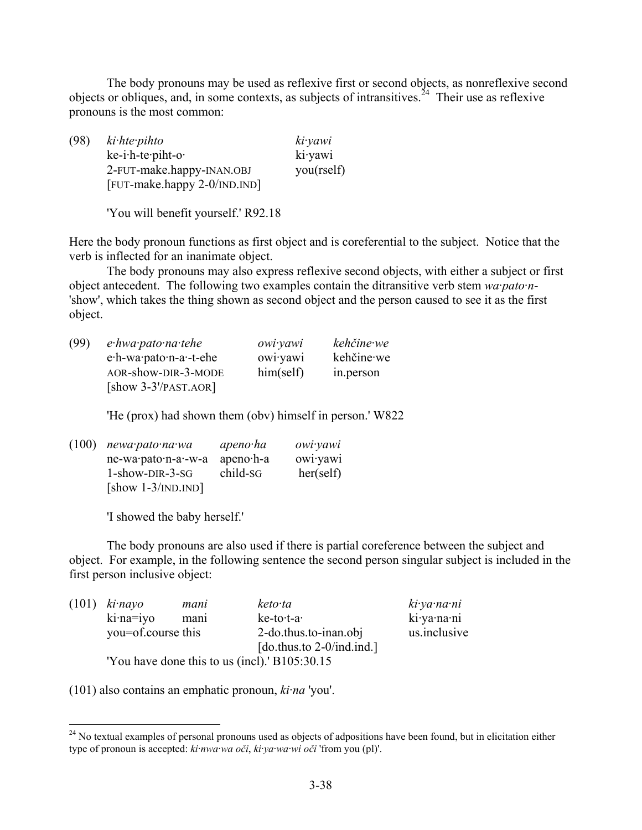The body pronouns may be used as reflexive first or second objects, as nonreflexive second objects or obliques, and, in some contexts, as subjects of intransitives.<sup>24</sup> Their use as reflexive pronouns is the most common:

(98) *ki·hte·pihto ki·yawi* ke-i·h-te·piht-o· ki·yawi 2-FUT-make.happy-INAN.OBJ you(rself) [FUT-make.happy 2-0/IND.IND]

'You will benefit yourself.' R92.18

Here the body pronoun functions as first object and is coreferential to the subject. Notice that the verb is inflected for an inanimate object.

The body pronouns may also express reflexive second objects, with either a subject or first object antecedent. The following two examples contain the ditransitive verb stem *wa·pato·n*- 'show', which takes the thing shown as second object and the person caused to see it as the first object.

| (99) | $e$ ·hwa·pato·na·tehe   | owi yawi  | kehčine we |
|------|-------------------------|-----------|------------|
|      | e.h-wa.pato.n-a.-t-ehe  | owiyawi   | kehčine we |
|      | AOR-show-DIR-3-MODE     | him(self) | in.person  |
|      | $[$ show 3-3'/PAST.AOR] |           |            |

'He (prox) had shown them (obv) himself in person.' W822

| $(100)$ newa pato na wa | apeno·ha    | owi yawi  |
|-------------------------|-------------|-----------|
| ne-wa·pato·n-a·-w-a     | $apeno·h-a$ | owiyawi   |
| $1$ -show-DIR-3-SG      | child-sG    | her(self) |
| [show $1-3/IND.IND$ ]   |             |           |

'I showed the baby herself.'

The body pronouns are also used if there is partial coreference between the subject and object. For example, in the following sentence the second person singular subject is included in the first person inclusive object:

|  | $(101)$ ki $\cdot$ nayo | mani                                          | keto ta                      | ki ya na ni  |
|--|-------------------------|-----------------------------------------------|------------------------------|--------------|
|  | $\text{k}$ i·na=iyo     | mani                                          | ke-to-t-a-                   | ki ya na ni  |
|  | you=of.course this      |                                               | 2-do.thus.to-inan.obj        | us.inclusive |
|  |                         |                                               | [do.thus.to $2$ -0/ind.ind.] |              |
|  |                         | 'You have done this to us (incl).' B105:30.15 |                              |              |

(101) also contains an emphatic pronoun, *ki·na* 'you'.

<sup>&</sup>lt;sup>24</sup> No textual examples of personal pronouns used as objects of adpositions have been found, but in elicitation either type of pronoun is accepted: *ki·nwa·wa oči*, *ki·ya·wa·wi oči* 'from you (pl)'.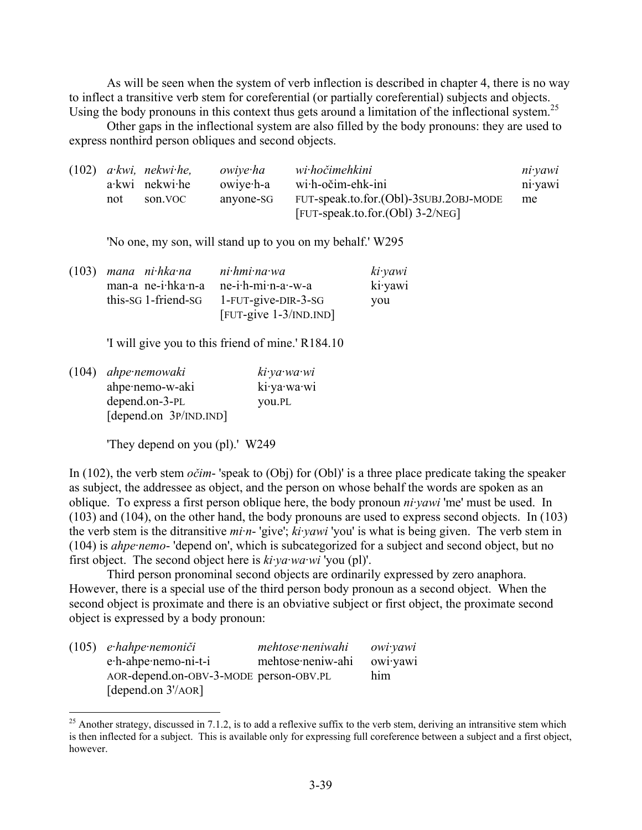As will be seen when the system of verb inflection is described in chapter 4, there is no way to inflect a transitive verb stem for coreferential (or partially coreferential) subjects and objects. Using the body pronouns in this context thus gets around a limitation of the inflectional system.<sup>25</sup>

Other gaps in the inflectional system are also filled by the body pronouns: they are used to express nonthird person obliques and second objects.

|     | $(102)$ a kwi, nekwi he, | owiye ha  | wi hočimehkini                         | ni vawi          |
|-----|--------------------------|-----------|----------------------------------------|------------------|
|     | $a$ ·kwi nekwi·he        | owiye h-a | $w$ i·h-očim-ehk-ini                   | $n_1$ ·yaw $n_1$ |
| not | son VOC                  | anvone-SG | FUT-speak.to.for.(Obl)-3SUBJ.2OBJ-MODE | me               |
|     |                          |           | [FUT-speak.to.for.(Obl) $3-2/NEG$ ]    |                  |

'No one, my son, will stand up to you on my behalf.' W295

| $(103)$ mana nihkana          | $ni$ hmi na wa                        | $ki$ ·yawi |
|-------------------------------|---------------------------------------|------------|
| man-a ne-i $h$ ka $\cdot$ n-a | $ne-i$ -h-mi $\cdot$ n-a $\cdot$ -w-a | ki yawi    |
| this-sq 1-friend-sq           | $1$ -FUT-give-DIR-3-SG                | you        |
|                               | $[$ FUT-give $1-3$ /IND.IND]          |            |

'I will give you to this friend of mine.' R184.10

(104) *ahpe·nemowaki ki·ya·wa·wi* ahpe·nemo-w-aki ki·ya·wa·wi depend.on-3-PL you.PL [depend.on 3P/IND.IND]

'They depend on you (pl).' W249

1

In (102), the verb stem *očim*- 'speak to (Obj) for (Obl)' is a three place predicate taking the speaker as subject, the addressee as object, and the person on whose behalf the words are spoken as an oblique. To express a first person oblique here, the body pronoun *ni·yawi* 'me' must be used. In (103) and (104), on the other hand, the body pronouns are used to express second objects. In (103) the verb stem is the ditransitive *mi·n*- 'give'; *ki·yawi* 'you' is what is being given. The verb stem in (104) is *ahpe·nemo*- 'depend on', which is subcategorized for a subject and second object, but no first object. The second object here is *ki·ya·wa·wi* 'you (pl)'.

Third person pronominal second objects are ordinarily expressed by zero anaphora. However, there is a special use of the third person body pronoun as a second object. When the second object is proximate and there is an obviative subject or first object, the proximate second object is expressed by a body pronoun:

| $(105)$ e hahpe nemoniči               | mehtose neniwahi  | owi yawi |
|----------------------------------------|-------------------|----------|
| e.h-ahpe.nemo-ni-t-i                   | mehtose·neniw-ahi | owiyawi  |
| AOR-depend.on-OBV-3-MODE person-OBV.PL |                   | him      |
| [depend.on $3'/AOR$ ]                  |                   |          |

 $^{25}$  Another strategy, discussed in 7.1.2, is to add a reflexive suffix to the verb stem, deriving an intransitive stem which is then inflected for a subject. This is available only for expressing full coreference between a subject and a first object, however.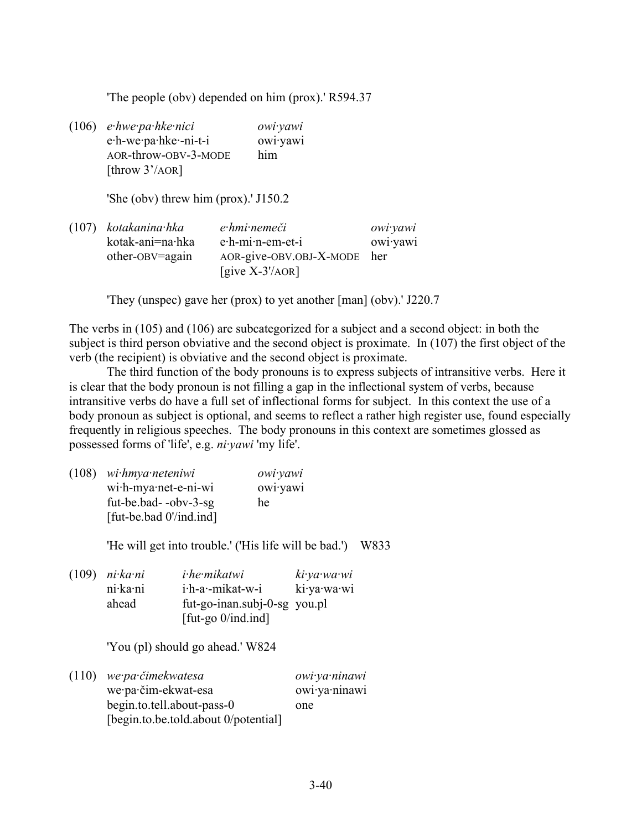'The people (obv) depended on him (prox).' R594.37

(106) *e·hwe·pa·hke·nici owi·yawi* e·h-we·pa·hke·-ni-t-i owi·yawi AOR-throw-OBV-3-MODE him [throw 3'/AOR]

'She (obv) threw him (prox).' J150.2

(107) *kotakanina·hka e·hmi·nemeči owi·yawi* kotak-ani=na·hka e·h-mi·n-em-et-i owi·yawi other-OBV=again AOR-give-OBV.OBJ-X-MODE her [give X-3'/AOR]

'They (unspec) gave her (prox) to yet another [man] (obv).' J220.7

The verbs in (105) and (106) are subcategorized for a subject and a second object: in both the subject is third person obviative and the second object is proximate. In (107) the first object of the verb (the recipient) is obviative and the second object is proximate.

The third function of the body pronouns is to express subjects of intransitive verbs. Here it is clear that the body pronoun is not filling a gap in the inflectional system of verbs, because intransitive verbs do have a full set of inflectional forms for subject. In this context the use of a body pronoun as subject is optional, and seems to reflect a rather high register use, found especially frequently in religious speeches. The body pronouns in this context are sometimes glossed as possessed forms of 'life', e.g. *ni·yawi* 'my life'.

(108) *wi·hmya·neteniwi owi·yawi* wi·h-mya·net-e-ni-wi owi·yawi fut-be.bad- -obv-3-sg he [fut-be.bad 0'/ind.ind]

'He will get into trouble.' ('His life will be bad.') W833

| $(109)$ ni $k$ a $\cdot$ ni | <i>i</i> -he-mikatwi         | ki ya wa wi |
|-----------------------------|------------------------------|-------------|
| ni ka ni                    | i.h-a.-mikat-w-i             | ki ya wa wi |
| ahead                       | fut-go-inan.subj-0-sg you.pl |             |
|                             | [fut-go $0$ /ind.ind]        |             |

'You (pl) should go ahead.' W824

| $(110)$ we pa čimekwatesa            | owi ya ninawi |
|--------------------------------------|---------------|
| we·pa·čim-ekwat-esa                  | owi·ya·ninawi |
| begin.to.tell.about-pass-0           | one           |
| [begin.to.be.told.about 0/potential] |               |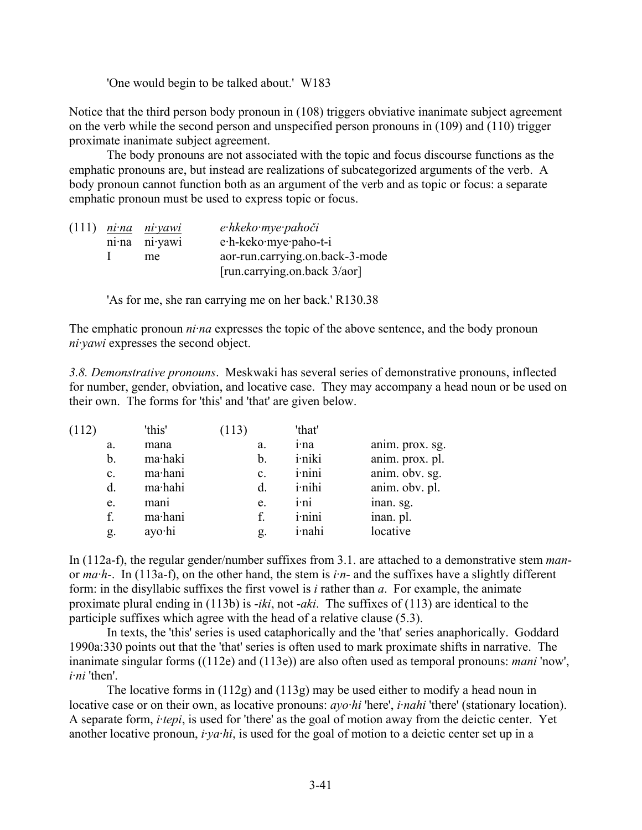'One would begin to be talked about.' W183

Notice that the third person body pronoun in (108) triggers obviative inanimate subject agreement on the verb while the second person and unspecified person pronouns in (109) and (110) trigger proximate inanimate subject agreement.

The body pronouns are not associated with the topic and focus discourse functions as the emphatic pronouns are, but instead are realizations of subcategorized arguments of the verb. A body pronoun cannot function both as an argument of the verb and as topic or focus: a separate emphatic pronoun must be used to express topic or focus.

|  | $(111)$ nina niyawi | e hkeko mye pahoči              |
|--|---------------------|---------------------------------|
|  | nina ni yawi        | e·h-keko·mye·paho-t-i           |
|  | me                  | aor-run.carrying.on.back-3-mode |
|  |                     | [run.carrying.on.back 3/aor]    |

'As for me, she ran carrying me on her back.' R130.38

The emphatic pronoun *ni·na* expresses the topic of the above sentence, and the body pronoun *ni·yawi* expresses the second object.

*3.8. Demonstrative pronouns*. Meskwaki has several series of demonstrative pronouns, inflected for number, gender, obviation, and locative case. They may accompany a head noun or be used on their own. The forms for 'this' and 'that' are given below.

| (112) |             | 'this'  | (113)          | 'that'         |                 |
|-------|-------------|---------|----------------|----------------|-----------------|
|       | a.          | mana    | a.             | i·na           | anim. prox. sg. |
|       | b.          | ma·haki | b.             | <i>i</i> ·niki | anim. prox. pl. |
|       | c.          | ma·hani | $\mathbf{c}$ . | <i>i</i> -nini | anim. obv. sg.  |
|       | $d_{\cdot}$ | ma·hahi | d.             | <i>i</i> -nihi | anim. obv. pl.  |
|       | e.          | mani    | e.             | <i>i</i> -ni   | inan. sg.       |
|       | f.          | ma·hani | f.             | <i>i</i> -nini | inan. pl.       |
|       | g.          | ayo·hi  | g.             | <i>i</i> ·nahi | locative        |
|       |             |         |                |                |                 |

In (112a-f), the regular gender/number suffixes from 3.1. are attached to a demonstrative stem *man*or *ma·h*-. In (113a-f), on the other hand, the stem is *i·n*- and the suffixes have a slightly different form: in the disyllabic suffixes the first vowel is *i* rather than *a*. For example, the animate proximate plural ending in (113b) is -*iki*, not -*aki*. The suffixes of (113) are identical to the participle suffixes which agree with the head of a relative clause (5.3).

In texts, the 'this' series is used cataphorically and the 'that' series anaphorically. Goddard 1990a:330 points out that the 'that' series is often used to mark proximate shifts in narrative. The inanimate singular forms ((112e) and (113e)) are also often used as temporal pronouns: *mani* 'now', *i·ni* 'then'.

The locative forms in (112g) and (113g) may be used either to modify a head noun in locative case or on their own, as locative pronouns: *ayo·hi* 'here', *i·nahi* 'there' (stationary location). A separate form, *i·tepi*, is used for 'there' as the goal of motion away from the deictic center. Yet another locative pronoun, *i·ya·hi*, is used for the goal of motion to a deictic center set up in a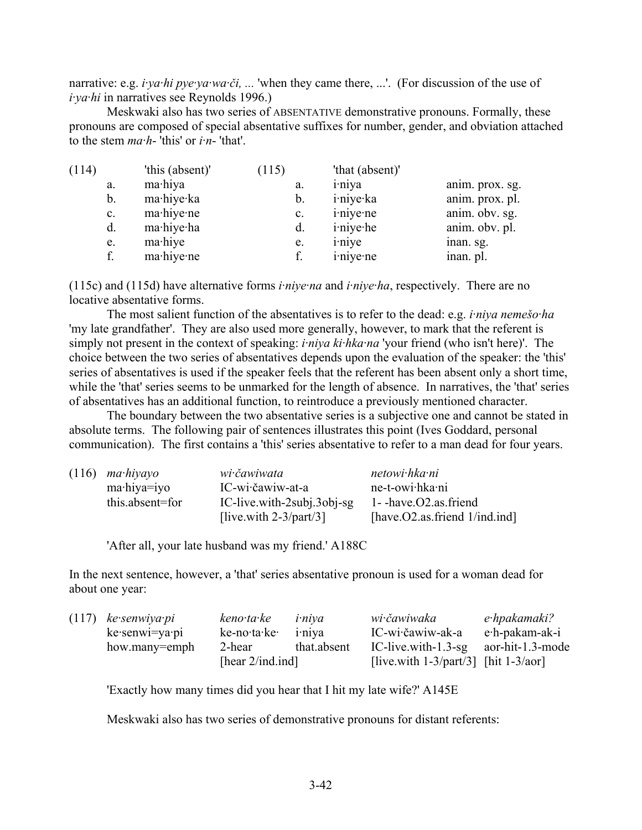narrative: e.g. *i·ya·hi pye·ya·wa·či, ...* 'when they came there, ...'. (For discussion of the use of *i·ya·hi* in narratives see Reynolds 1996.)

Meskwaki also has two series of ABSENTATIVE demonstrative pronouns. Formally, these pronouns are composed of special absentative suffixes for number, gender, and obviation attached to the stem *ma·h*- 'this' or *i·n*- 'that'.

| (114)          | 'this (absent)' | (115)          | 'that (absent)'   |                 |
|----------------|-----------------|----------------|-------------------|-----------------|
| a.             | ma·hiya         | a.             | <i>i</i> -niya    | anim. prox. sg. |
| $\mathbf b$ .  | ma·hiye·ka      | b.             | i·niye·ka         | anim. prox. pl. |
| $\mathbf{c}$ . | ma·hiye·ne      | $\mathbf{c}$ . | <i>i</i> -niye-ne | anim. obv. sg.  |
| $d$ .          | ma·hiye·ha      | d.             | <i>i</i> -niye-he | anim. obv. pl.  |
| e.             | mahiye          | e.             | <i>i</i> -niye    | inan. sg.       |
| f.             | ma·hiye·ne      |                | <i>i</i> -niye-ne | inan. pl.       |

(115c) and (115d) have alternative forms *i·niye·na* and *i·niye·ha*, respectively. There are no locative absentative forms.

The most salient function of the absentatives is to refer to the dead: e.g. *i·niya nemešo·ha* 'my late grandfather'. They are also used more generally, however, to mark that the referent is simply not present in the context of speaking: *i·niya ki·hka·na* 'your friend (who isn't here)'. The choice between the two series of absentatives depends upon the evaluation of the speaker: the 'this' series of absentatives is used if the speaker feels that the referent has been absent only a short time, while the 'that' series seems to be unmarked for the length of absence. In narratives, the 'that' series of absentatives has an additional function, to reintroduce a previously mentioned character.

The boundary between the two absentative series is a subjective one and cannot be stated in absolute terms. The following pair of sentences illustrates this point (Ives Goddard, personal communication). The first contains a 'this' series absentative to refer to a man dead for four years.

| $(116)$ mahiyayo | wi čawiwata                | netowi hka ni                        |
|------------------|----------------------------|--------------------------------------|
| ma·hiya=iyo      | IC-wi·čawiw-at-a           | ne-t-owi hka ni                      |
| this.absent=for  | IC-live with-2subj.3obj-sg | $1 - \text{have.} O2$ as friend      |
|                  | [live.with $2-3$ /part/3]  | [have. $O2$ .as.friend $1/ind$ .ind] |

'After all, your late husband was my friend.' A188C

In the next sentence, however, a 'that' series absentative pronoun is used for a woman dead for about one year:

| $(117)$ ke senwiya pi | keno ta ke          | <i>i</i> -niya      | wi čawiwaka                                | e·hpakamaki?     |
|-----------------------|---------------------|---------------------|--------------------------------------------|------------------|
| $ke$ senwi=ya pi      | ke-no·ta·ke·        | 1 <sup>-</sup> niva | IC-wi·čawiw-ak-a                           | e·h-pakam-ak-i   |
| how.many=emph         | 2-hear              | that.absent         | IC-live.with- $1.3$ -sg                    | aor-hit-1.3-mode |
|                       | [hear $2$ /ind.ind] |                     | [live.with $1-3$ /part/3] [hit $1-3/a$ or] |                  |

'Exactly how many times did you hear that I hit my late wife?' A145E

Meskwaki also has two series of demonstrative pronouns for distant referents: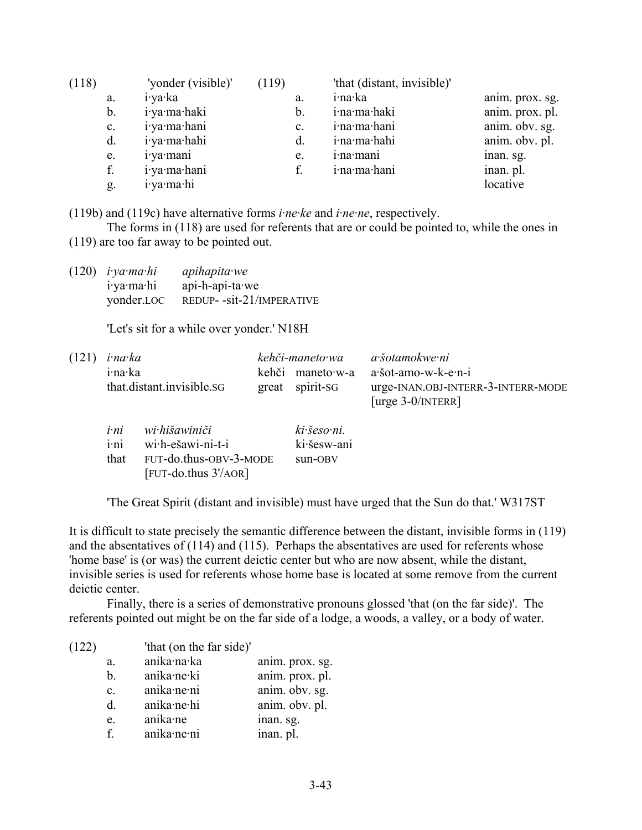| (118)          | 'yonder (visible)' | (119)          | 'that (distant, invisible)' |                 |
|----------------|--------------------|----------------|-----------------------------|-----------------|
| a.             | i·ya·ka            | a.             | i·na·ka                     | anim. prox. sg. |
| b.             | i·ya·ma·haki       | b.             | i·na·ma·haki                | anim. prox. pl. |
| $\mathbf{c}$ . | i·ya·ma·hani       | $\mathbf{c}$ . | i·na·ma·hani                | anim. obv. sg.  |
| d.             | i·ya·ma·hahi       |                | i·na·ma·hahi                | anim. obv. pl.  |
| e.             | <i>i</i> -ya·mani  | e.             | i·na·mani                   | inan. sg.       |
| f.             | i·ya·ma·hani       |                | i·na·ma·hani                | inan. pl.       |
| g.             | i ya ma hi         |                |                             | locative        |

(119b) and (119c) have alternative forms *i·ne·ke* and *i·ne·ne*, respectively.

The forms in (118) are used for referents that are or could be pointed to, while the ones in (119) are too far away to be pointed out.

(120) *i·ya·ma·hi apihapita·we* i·ya·ma·hi api-h-api-ta·we yonder.LOC REDUP- -sit-21/IMPERATIVE

'Let's sit for a while over yonder.' N18H

| $(121)$ <i>i</i> ·na·ka   | kehči-maneto wa  | a šotamokwe ni                                            |  |
|---------------------------|------------------|-----------------------------------------------------------|--|
| i·na·ka                   | kehči maneto·w-a | a·šot-amo-w-k-e·n-i                                       |  |
| that distant invisible SG | great spirit-SG  | urge-INAN.OBJ-INTERR-3-INTERR-MODE<br>[urge $3-0/NTERR$ ] |  |

| i·ni | wi hišawiniči              | ki šeso ni. |
|------|----------------------------|-------------|
| i·ni | wi·h-ešawi-ni-t-i          | ki šesw-ani |
| that | FUT-do.thus-OBV-3-MODE     | sun-OBV     |
|      | $[$ FUT-do.thus $3'/AOR$ ] |             |

'The Great Spirit (distant and invisible) must have urged that the Sun do that.' W317ST

It is difficult to state precisely the semantic difference between the distant, invisible forms in (119) and the absentatives of (114) and (115). Perhaps the absentatives are used for referents whose 'home base' is (or was) the current deictic center but who are now absent, while the distant, invisible series is used for referents whose home base is located at some remove from the current deictic center.

Finally, there is a series of demonstrative pronouns glossed 'that (on the far side)'. The referents pointed out might be on the far side of a lodge, a woods, a valley, or a body of water.

| anika·na·ka<br>anim. prox. sg.<br>a.<br>anim. prox. pl.<br>anika·ne·ki<br>b.<br>anim. obv. sg.<br>anika·ne·ni |  |
|---------------------------------------------------------------------------------------------------------------|--|
|                                                                                                               |  |
|                                                                                                               |  |
| $\mathbf{c}$ .                                                                                                |  |
| anim. obv. pl.<br>anika·ne·hi<br><sub>d</sub>                                                                 |  |
| anika·ne<br>inan. sg.<br>e.                                                                                   |  |
| inan. pl.<br>anika·ne·ni<br>$f_{\perp}$                                                                       |  |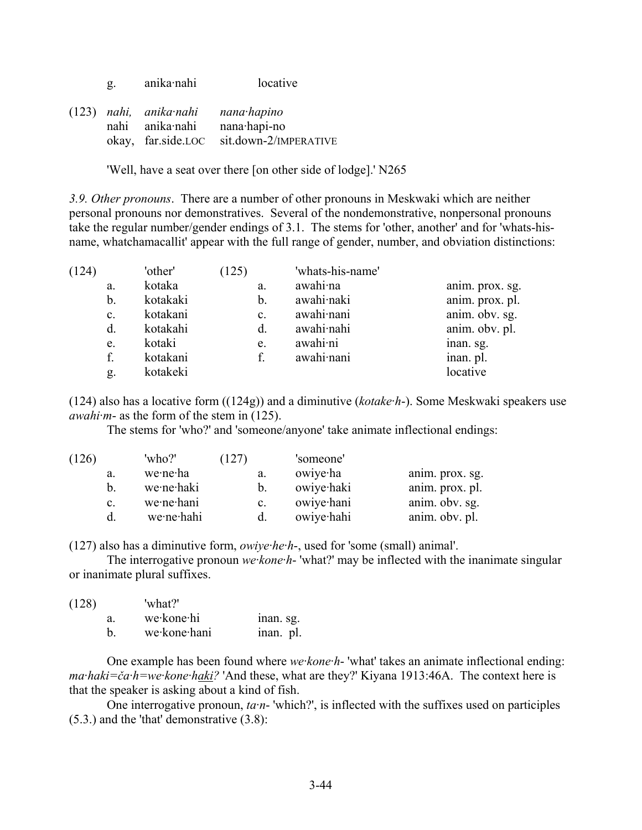g. anika·nahi locative

(123) *nahi, anika·nahi nana·hapino* nahi anika·nahi nana·hapi-no okay, far.side.LOC sit.down-2/IMPERATIVE

'Well, have a seat over there [on other side of lodge].' N265

*3.9. Other pronouns*. There are a number of other pronouns in Meskwaki which are neither personal pronouns nor demonstratives. Several of the nondemonstrative, nonpersonal pronouns take the regular number/gender endings of 3.1. The stems for 'other, another' and for 'whats-hisname, whatchamacallit' appear with the full range of gender, number, and obviation distinctions:

| (124) |              | 'other'  | (125) |                | 'whats-his-name' |                 |
|-------|--------------|----------|-------|----------------|------------------|-----------------|
|       | a.           | kotaka   | a.    |                | awahi·na         | anim. prox. sg. |
|       | b.           | kotakaki | b.    |                | awahi naki       | anim. prox. pl. |
|       | c.           | kotakani |       | $\mathbf{c}$ . | awahi nani       | anim. obv. sg.  |
|       | $\mathbf{d}$ | kotakahi | d.    |                | awahi nahi       | anim. obv. pl.  |
|       | e.           | kotaki   | e.    |                | awahi·ni         | inan. sg.       |
|       | f.           | kotakani |       |                | awahi nani       | inan. pl.       |
|       | g.           | kotakeki |       |                |                  | locative        |

(124) also has a locative form ((124g)) and a diminutive (*kotake·h*-). Some Meskwaki speakers use *awahi·m*- as the form of the stem in (125).

The stems for 'who?' and 'someone/anyone' take animate inflectional endings:

| (126) |                | 'who?'     | (127)          | 'someone'  |                 |
|-------|----------------|------------|----------------|------------|-----------------|
|       | a.             | we∙ne∙ha   | a.             | owiye ha   | anim. prox. sg. |
|       | h.             | we ne haki |                | owiye haki | anim. prox. pl. |
|       | $\mathbf{c}$ . | we·ne·hani | $\mathbf{c}$ . | owiye hani | anim. obv. sg.  |
|       |                | we ne hahi |                | owiye hahi | anim. obv. pl.  |

(127) also has a diminutive form, *owiye·he·h*-, used for 'some (small) animal'.

The interrogative pronoun *we·kone·h*- 'what?' may be inflected with the inanimate singular or inanimate plural suffixes.

| (128) |    | 'what?'      |           |
|-------|----|--------------|-----------|
|       | a. | we kone hi   | inan. sg. |
|       | h  | we kone hani | inan. pl. |

One example has been found where *we·kone·h*- 'what' takes an animate inflectional ending: *ma·haki=ča·h=we·kone·haki?* 'And these, what are they?' Kiyana 1913:46A. The context here is that the speaker is asking about a kind of fish.

One interrogative pronoun, *ta·n*- 'which?', is inflected with the suffixes used on participles (5.3.) and the 'that' demonstrative (3.8):